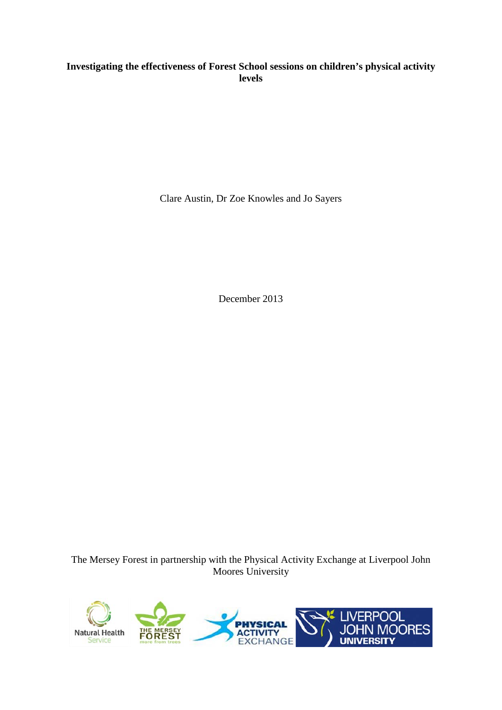# **Investigating the effectiveness of Forest School sessions on children's physical activity levels**

Clare Austin, Dr Zoe Knowles and Jo Sayers

December 2013

The Mersey Forest in partnership with the Physical Activity Exchange at Liverpool John Moores University

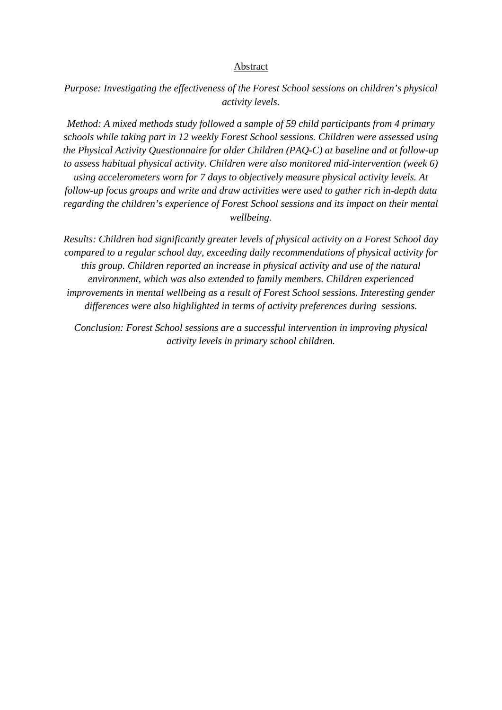#### Abstract

*Purpose: Investigating the effectiveness of the Forest School sessions on children's physical activity levels.* 

*Method: A mixed methods study followed a sample of 59 child participants from 4 primary schools while taking part in 12 weekly Forest School sessions. Children were assessed using the Physical Activity Questionnaire for older Children (PAQ-C) at baseline and at follow-up to assess habitual physical activity. Children were also monitored mid-intervention (week 6) using accelerometers worn for 7 days to objectively measure physical activity levels. At follow-up focus groups and write and draw activities were used to gather rich in-depth data regarding the children's experience of Forest School sessions and its impact on their mental wellbeing.* 

*Results: Children had significantly greater levels of physical activity on a Forest School day compared to a regular school day, exceeding daily recommendations of physical activity for this group. Children reported an increase in physical activity and use of the natural environment, which was also extended to family members. Children experienced improvements in mental wellbeing as a result of Forest School sessions. Interesting gender differences were also highlighted in terms of activity preferences during sessions.*

*Conclusion: Forest School sessions are a successful intervention in improving physical activity levels in primary school children.*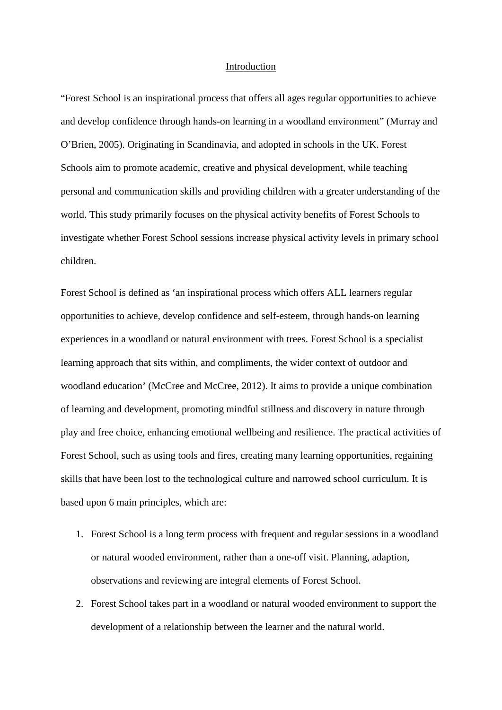#### Introduction

"Forest School is an inspirational process that offers all ages regular opportunities to achieve and develop confidence through hands-on learning in a woodland environment" (Murray and O'Brien, 2005). Originating in Scandinavia, and adopted in schools in the UK. Forest Schools aim to promote academic, creative and physical development, while teaching personal and communication skills and providing children with a greater understanding of the world. This study primarily focuses on the physical activity benefits of Forest Schools to investigate whether Forest School sessions increase physical activity levels in primary school children.

Forest School is defined as 'an inspirational process which offers ALL learners regular opportunities to achieve, develop confidence and self-esteem, through hands-on learning experiences in a woodland or natural environment with trees. Forest School is a specialist learning approach that sits within, and compliments, the wider context of outdoor and woodland education' (McCree and McCree, 2012). It aims to provide a unique combination of learning and development, promoting mindful stillness and discovery in nature through play and free choice, enhancing emotional wellbeing and resilience. The practical activities of Forest School, such as using tools and fires, creating many learning opportunities, regaining skills that have been lost to the technological culture and narrowed school curriculum. It is based upon 6 main principles, which are:

- 1. Forest School is a long term process with frequent and regular sessions in a woodland or natural wooded environment, rather than a one-off visit. Planning, adaption, observations and reviewing are integral elements of Forest School.
- 2. Forest School takes part in a woodland or natural wooded environment to support the development of a relationship between the learner and the natural world.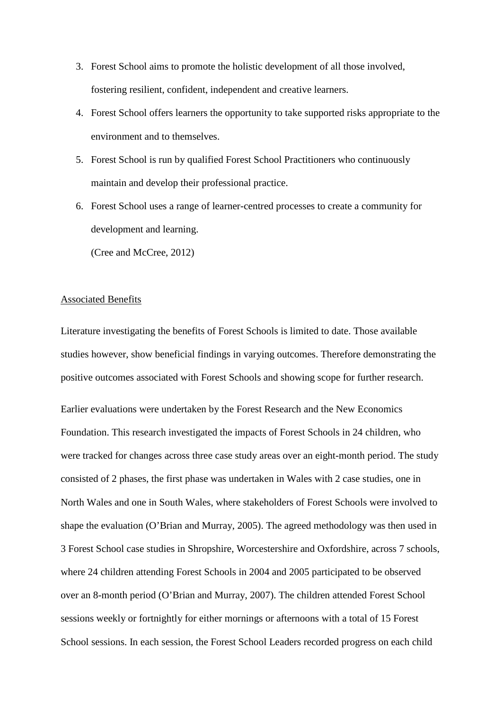- 3. Forest School aims to promote the holistic development of all those involved, fostering resilient, confident, independent and creative learners.
- 4. Forest School offers learners the opportunity to take supported risks appropriate to the environment and to themselves.
- 5. Forest School is run by qualified Forest School Practitioners who continuously maintain and develop their professional practice.
- 6. Forest School uses a range of learner-centred processes to create a community for development and learning.

(Cree and McCree, 2012)

# Associated Benefits

Literature investigating the benefits of Forest Schools is limited to date. Those available studies however, show beneficial findings in varying outcomes. Therefore demonstrating the positive outcomes associated with Forest Schools and showing scope for further research.

Earlier evaluations were undertaken by the Forest Research and the New Economics Foundation. This research investigated the impacts of Forest Schools in 24 children, who were tracked for changes across three case study areas over an eight-month period. The study consisted of 2 phases, the first phase was undertaken in Wales with 2 case studies, one in North Wales and one in South Wales, where stakeholders of Forest Schools were involved to shape the evaluation (O'Brian and Murray, 2005). The agreed methodology was then used in 3 Forest School case studies in Shropshire, Worcestershire and Oxfordshire, across 7 schools, where 24 children attending Forest Schools in 2004 and 2005 participated to be observed over an 8-month period (O'Brian and Murray, 2007). The children attended Forest School sessions weekly or fortnightly for either mornings or afternoons with a total of 15 Forest School sessions. In each session, the Forest School Leaders recorded progress on each child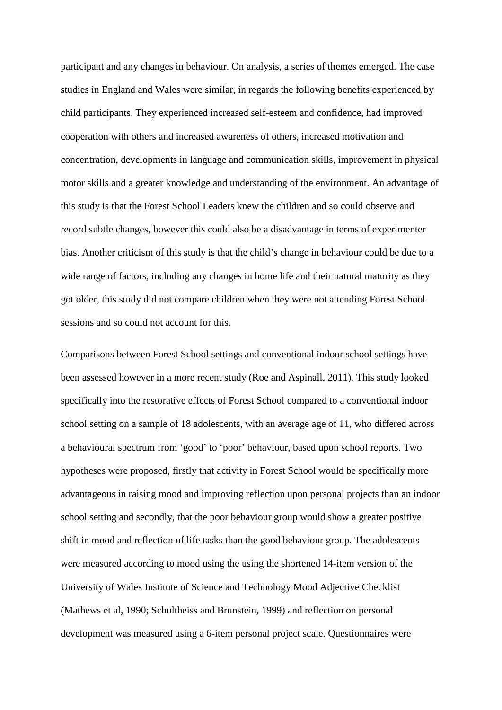participant and any changes in behaviour. On analysis, a series of themes emerged. The case studies in England and Wales were similar, in regards the following benefits experienced by child participants. They experienced increased self-esteem and confidence, had improved cooperation with others and increased awareness of others, increased motivation and concentration, developments in language and communication skills, improvement in physical motor skills and a greater knowledge and understanding of the environment. An advantage of this study is that the Forest School Leaders knew the children and so could observe and record subtle changes, however this could also be a disadvantage in terms of experimenter bias. Another criticism of this study is that the child's change in behaviour could be due to a wide range of factors, including any changes in home life and their natural maturity as they got older, this study did not compare children when they were not attending Forest School sessions and so could not account for this.

Comparisons between Forest School settings and conventional indoor school settings have been assessed however in a more recent study (Roe and Aspinall, 2011). This study looked specifically into the restorative effects of Forest School compared to a conventional indoor school setting on a sample of 18 adolescents, with an average age of 11, who differed across a behavioural spectrum from 'good' to 'poor' behaviour, based upon school reports. Two hypotheses were proposed, firstly that activity in Forest School would be specifically more advantageous in raising mood and improving reflection upon personal projects than an indoor school setting and secondly, that the poor behaviour group would show a greater positive shift in mood and reflection of life tasks than the good behaviour group. The adolescents were measured according to mood using the using the shortened 14-item version of the University of Wales Institute of Science and Technology Mood Adjective Checklist (Mathews et al, 1990; Schultheiss and Brunstein, 1999) and reflection on personal development was measured using a 6-item personal project scale. Questionnaires were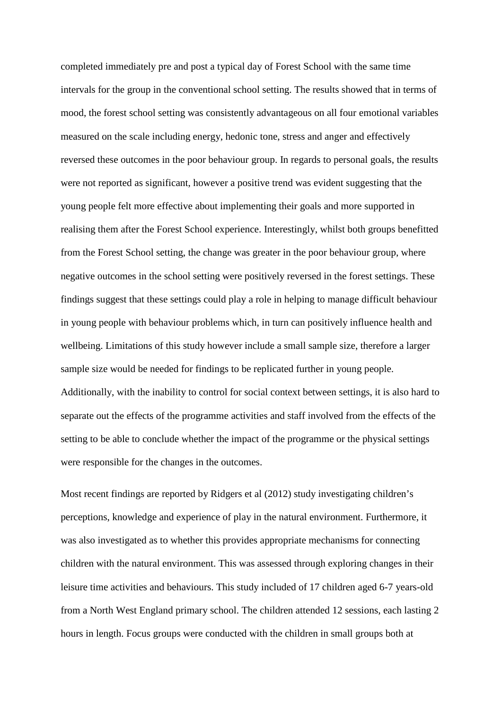completed immediately pre and post a typical day of Forest School with the same time intervals for the group in the conventional school setting. The results showed that in terms of mood, the forest school setting was consistently advantageous on all four emotional variables measured on the scale including energy, hedonic tone, stress and anger and effectively reversed these outcomes in the poor behaviour group. In regards to personal goals, the results were not reported as significant, however a positive trend was evident suggesting that the young people felt more effective about implementing their goals and more supported in realising them after the Forest School experience. Interestingly, whilst both groups benefitted from the Forest School setting, the change was greater in the poor behaviour group, where negative outcomes in the school setting were positively reversed in the forest settings. These findings suggest that these settings could play a role in helping to manage difficult behaviour in young people with behaviour problems which, in turn can positively influence health and wellbeing. Limitations of this study however include a small sample size, therefore a larger sample size would be needed for findings to be replicated further in young people. Additionally, with the inability to control for social context between settings, it is also hard to separate out the effects of the programme activities and staff involved from the effects of the setting to be able to conclude whether the impact of the programme or the physical settings were responsible for the changes in the outcomes.

Most recent findings are reported by Ridgers et al (2012) study investigating children's perceptions, knowledge and experience of play in the natural environment. Furthermore, it was also investigated as to whether this provides appropriate mechanisms for connecting children with the natural environment. This was assessed through exploring changes in their leisure time activities and behaviours. This study included of 17 children aged 6-7 years-old from a North West England primary school. The children attended 12 sessions, each lasting 2 hours in length. Focus groups were conducted with the children in small groups both at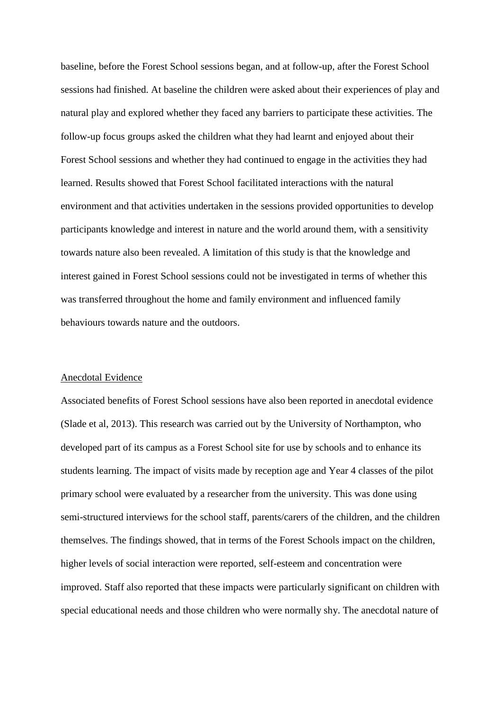baseline, before the Forest School sessions began, and at follow-up, after the Forest School sessions had finished. At baseline the children were asked about their experiences of play and natural play and explored whether they faced any barriers to participate these activities. The follow-up focus groups asked the children what they had learnt and enjoyed about their Forest School sessions and whether they had continued to engage in the activities they had learned. Results showed that Forest School facilitated interactions with the natural environment and that activities undertaken in the sessions provided opportunities to develop participants knowledge and interest in nature and the world around them, with a sensitivity towards nature also been revealed. A limitation of this study is that the knowledge and interest gained in Forest School sessions could not be investigated in terms of whether this was transferred throughout the home and family environment and influenced family behaviours towards nature and the outdoors.

#### Anecdotal Evidence

Associated benefits of Forest School sessions have also been reported in anecdotal evidence (Slade et al, 2013). This research was carried out by the University of Northampton, who developed part of its campus as a Forest School site for use by schools and to enhance its students learning. The impact of visits made by reception age and Year 4 classes of the pilot primary school were evaluated by a researcher from the university. This was done using semi-structured interviews for the school staff, parents/carers of the children, and the children themselves. The findings showed, that in terms of the Forest Schools impact on the children, higher levels of social interaction were reported, self-esteem and concentration were improved. Staff also reported that these impacts were particularly significant on children with special educational needs and those children who were normally shy. The anecdotal nature of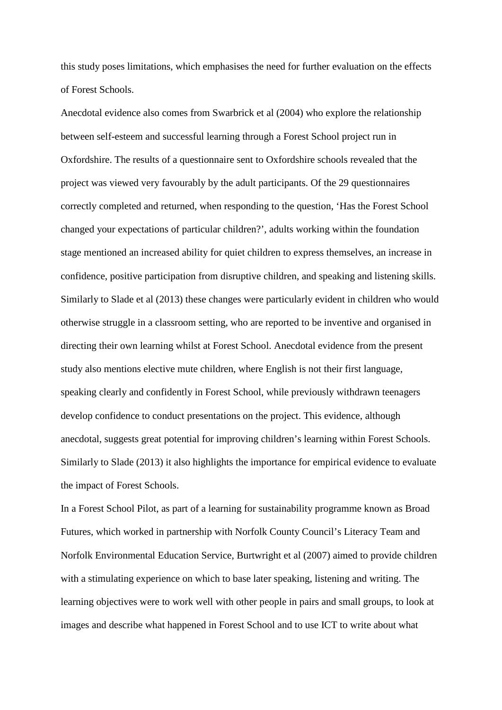this study poses limitations, which emphasises the need for further evaluation on the effects of Forest Schools.

Anecdotal evidence also comes from Swarbrick et al (2004) who explore the relationship between self-esteem and successful learning through a Forest School project run in Oxfordshire. The results of a questionnaire sent to Oxfordshire schools revealed that the project was viewed very favourably by the adult participants. Of the 29 questionnaires correctly completed and returned, when responding to the question, 'Has the Forest School changed your expectations of particular children?', adults working within the foundation stage mentioned an increased ability for quiet children to express themselves, an increase in confidence, positive participation from disruptive children, and speaking and listening skills. Similarly to Slade et al (2013) these changes were particularly evident in children who would otherwise struggle in a classroom setting, who are reported to be inventive and organised in directing their own learning whilst at Forest School. Anecdotal evidence from the present study also mentions elective mute children, where English is not their first language, speaking clearly and confidently in Forest School, while previously withdrawn teenagers develop confidence to conduct presentations on the project. This evidence, although anecdotal, suggests great potential for improving children's learning within Forest Schools. Similarly to Slade (2013) it also highlights the importance for empirical evidence to evaluate the impact of Forest Schools.

In a Forest School Pilot, as part of a learning for sustainability programme known as Broad Futures, which worked in partnership with Norfolk County Council's Literacy Team and Norfolk Environmental Education Service, Burtwright et al (2007) aimed to provide children with a stimulating experience on which to base later speaking, listening and writing. The learning objectives were to work well with other people in pairs and small groups, to look at images and describe what happened in Forest School and to use ICT to write about what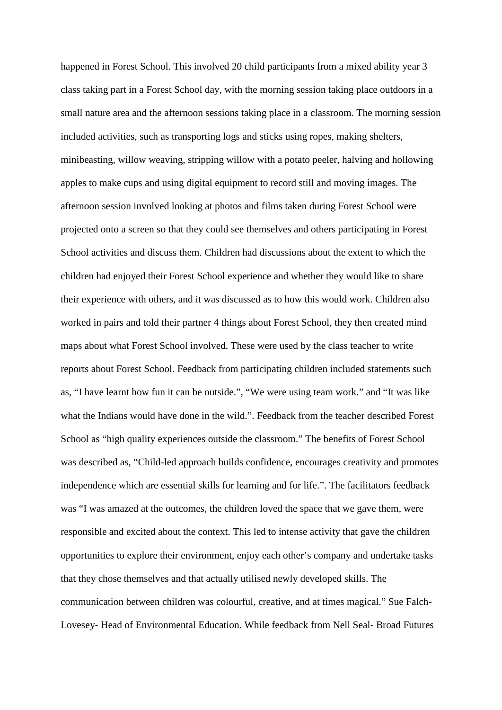happened in Forest School. This involved 20 child participants from a mixed ability year 3 class taking part in a Forest School day, with the morning session taking place outdoors in a small nature area and the afternoon sessions taking place in a classroom. The morning session included activities, such as transporting logs and sticks using ropes, making shelters, minibeasting, willow weaving, stripping willow with a potato peeler, halving and hollowing apples to make cups and using digital equipment to record still and moving images. The afternoon session involved looking at photos and films taken during Forest School were projected onto a screen so that they could see themselves and others participating in Forest School activities and discuss them. Children had discussions about the extent to which the children had enjoyed their Forest School experience and whether they would like to share their experience with others, and it was discussed as to how this would work. Children also worked in pairs and told their partner 4 things about Forest School, they then created mind maps about what Forest School involved. These were used by the class teacher to write reports about Forest School. Feedback from participating children included statements such as, "I have learnt how fun it can be outside.", "We were using team work." and "It was like what the Indians would have done in the wild.". Feedback from the teacher described Forest School as "high quality experiences outside the classroom." The benefits of Forest School was described as, "Child-led approach builds confidence, encourages creativity and promotes independence which are essential skills for learning and for life.". The facilitators feedback was "I was amazed at the outcomes, the children loved the space that we gave them, were responsible and excited about the context. This led to intense activity that gave the children opportunities to explore their environment, enjoy each other's company and undertake tasks that they chose themselves and that actually utilised newly developed skills. The communication between children was colourful, creative, and at times magical." Sue Falch-Lovesey- Head of Environmental Education. While feedback from Nell Seal- Broad Futures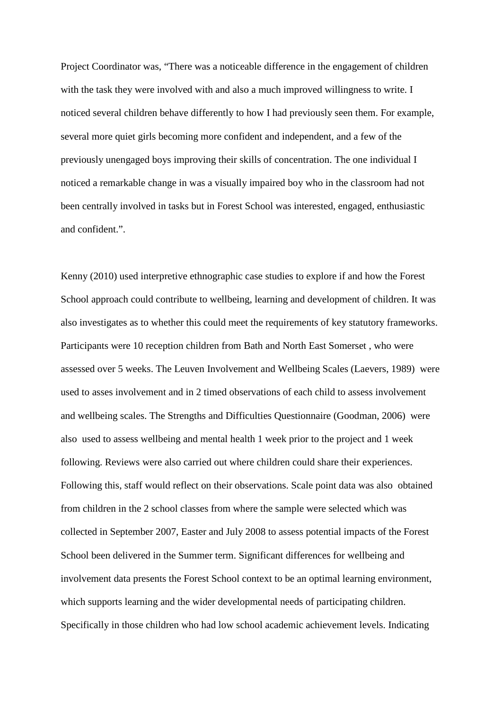Project Coordinator was, "There was a noticeable difference in the engagement of children with the task they were involved with and also a much improved willingness to write. I noticed several children behave differently to how I had previously seen them. For example, several more quiet girls becoming more confident and independent, and a few of the previously unengaged boys improving their skills of concentration. The one individual I noticed a remarkable change in was a visually impaired boy who in the classroom had not been centrally involved in tasks but in Forest School was interested, engaged, enthusiastic and confident.".

Kenny (2010) used interpretive ethnographic case studies to explore if and how the Forest School approach could contribute to wellbeing, learning and development of children. It was also investigates as to whether this could meet the requirements of key statutory frameworks. Participants were 10 reception children from Bath and North East Somerset , who were assessed over 5 weeks. The Leuven Involvement and Wellbeing Scales (Laevers, 1989) were used to asses involvement and in 2 timed observations of each child to assess involvement and wellbeing scales. The Strengths and Difficulties Questionnaire (Goodman, 2006) were also used to assess wellbeing and mental health 1 week prior to the project and 1 week following. Reviews were also carried out where children could share their experiences. Following this, staff would reflect on their observations. Scale point data was also obtained from children in the 2 school classes from where the sample were selected which was collected in September 2007, Easter and July 2008 to assess potential impacts of the Forest School been delivered in the Summer term. Significant differences for wellbeing and involvement data presents the Forest School context to be an optimal learning environment, which supports learning and the wider developmental needs of participating children. Specifically in those children who had low school academic achievement levels. Indicating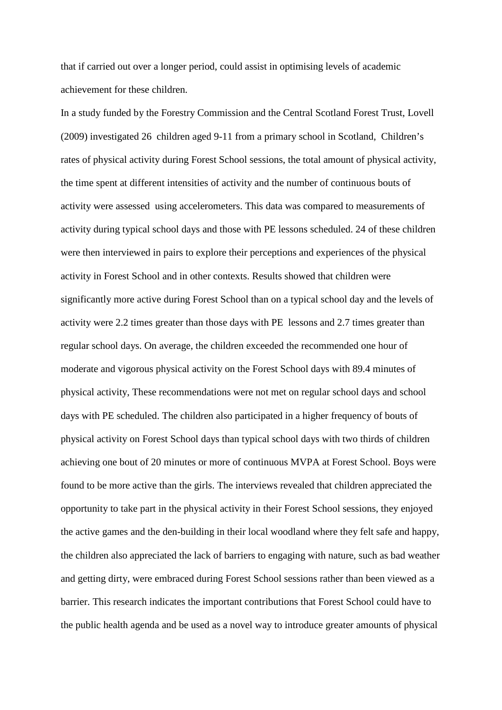that if carried out over a longer period, could assist in optimising levels of academic achievement for these children.

In a study funded by the Forestry Commission and the Central Scotland Forest Trust, Lovell (2009) investigated 26 children aged 9-11 from a primary school in Scotland, Children's rates of physical activity during Forest School sessions, the total amount of physical activity, the time spent at different intensities of activity and the number of continuous bouts of activity were assessed using accelerometers. This data was compared to measurements of activity during typical school days and those with PE lessons scheduled. 24 of these children were then interviewed in pairs to explore their perceptions and experiences of the physical activity in Forest School and in other contexts. Results showed that children were significantly more active during Forest School than on a typical school day and the levels of activity were 2.2 times greater than those days with PE lessons and 2.7 times greater than regular school days. On average, the children exceeded the recommended one hour of moderate and vigorous physical activity on the Forest School days with 89.4 minutes of physical activity, These recommendations were not met on regular school days and school days with PE scheduled. The children also participated in a higher frequency of bouts of physical activity on Forest School days than typical school days with two thirds of children achieving one bout of 20 minutes or more of continuous MVPA at Forest School. Boys were found to be more active than the girls. The interviews revealed that children appreciated the opportunity to take part in the physical activity in their Forest School sessions, they enjoyed the active games and the den-building in their local woodland where they felt safe and happy, the children also appreciated the lack of barriers to engaging with nature, such as bad weather and getting dirty, were embraced during Forest School sessions rather than been viewed as a barrier. This research indicates the important contributions that Forest School could have to the public health agenda and be used as a novel way to introduce greater amounts of physical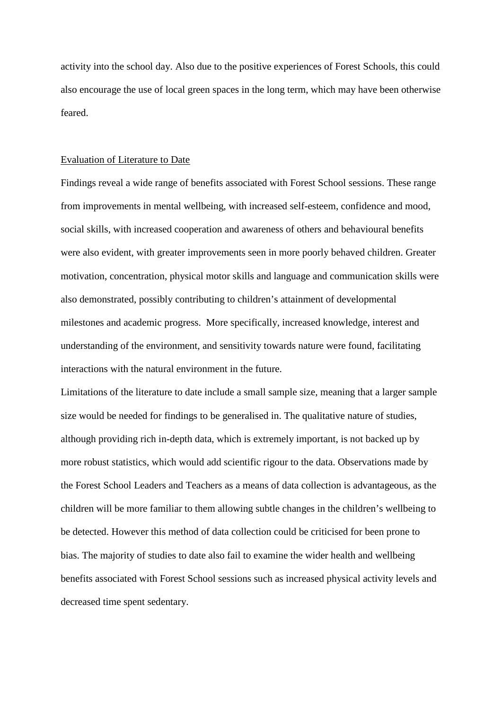activity into the school day. Also due to the positive experiences of Forest Schools, this could also encourage the use of local green spaces in the long term, which may have been otherwise feared.

#### Evaluation of Literature to Date

Findings reveal a wide range of benefits associated with Forest School sessions. These range from improvements in mental wellbeing, with increased self-esteem, confidence and mood, social skills, with increased cooperation and awareness of others and behavioural benefits were also evident, with greater improvements seen in more poorly behaved children. Greater motivation, concentration, physical motor skills and language and communication skills were also demonstrated, possibly contributing to children's attainment of developmental milestones and academic progress. More specifically, increased knowledge, interest and understanding of the environment, and sensitivity towards nature were found, facilitating interactions with the natural environment in the future.

Limitations of the literature to date include a small sample size, meaning that a larger sample size would be needed for findings to be generalised in. The qualitative nature of studies, although providing rich in-depth data, which is extremely important, is not backed up by more robust statistics, which would add scientific rigour to the data. Observations made by the Forest School Leaders and Teachers as a means of data collection is advantageous, as the children will be more familiar to them allowing subtle changes in the children's wellbeing to be detected. However this method of data collection could be criticised for been prone to bias. The majority of studies to date also fail to examine the wider health and wellbeing benefits associated with Forest School sessions such as increased physical activity levels and decreased time spent sedentary.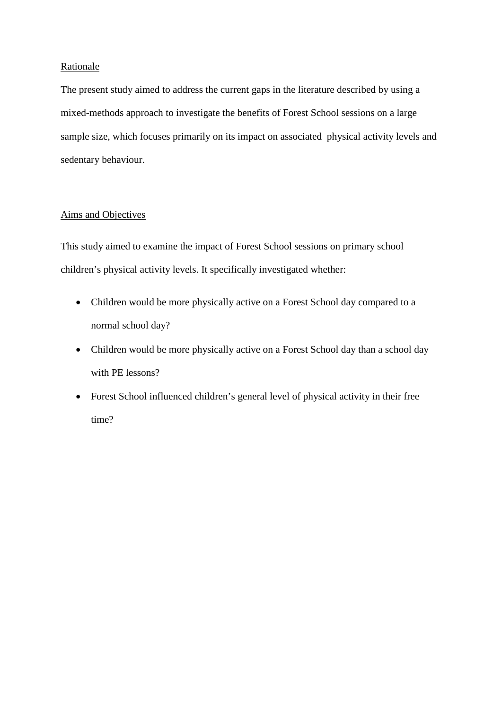# **Rationale**

The present study aimed to address the current gaps in the literature described by using a mixed-methods approach to investigate the benefits of Forest School sessions on a large sample size, which focuses primarily on its impact on associated physical activity levels and sedentary behaviour.

# Aims and Objectives

This study aimed to examine the impact of Forest School sessions on primary school children's physical activity levels. It specifically investigated whether:

- Children would be more physically active on a Forest School day compared to a normal school day?
- Children would be more physically active on a Forest School day than a school day with PE lessons?
- Forest School influenced children's general level of physical activity in their free time?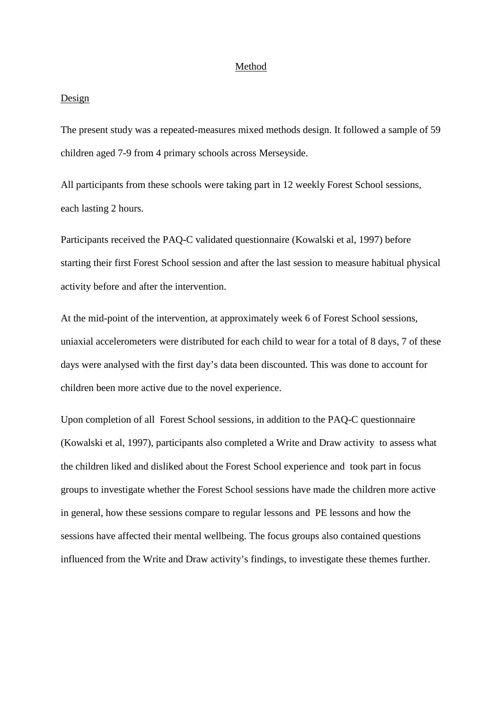## Method

#### Design

The present study was a repeated-measures mixed methods design. It followed a sample of 59 children aged 7-9 from 4 primary schools across Merseyside.

All participants from these schools were taking part in 12 weekly Forest School sessions, each lasting 2 hours.

Participants received the PAQ-C validated questionnaire (Kowalski et al, 1997) before starting their first Forest School session and after the last session to measure habitual physical activity before and after the intervention.

At the mid-point of the intervention, at approximately week 6 of Forest School sessions, uniaxial accelerometers were distributed for each child to wear for a total of 8 days, 7 of these days were analysed with the first day's data been discounted. This was done to account for children been more active due to the novel experience.

Upon completion of all Forest School sessions, in addition to the PAQ-C questionnaire (Kowalski et al, 1997), participants also completed a Write and Draw activity to assess what the children liked and disliked about the Forest School experience and took part in focus groups to investigate whether the Forest School sessions have made the children more active in general, how these sessions compare to regular lessons and PE lessons and how the sessions have affected their mental wellbeing. The focus groups also contained questions influenced from the Write and Draw activity's findings, to investigate these themes further.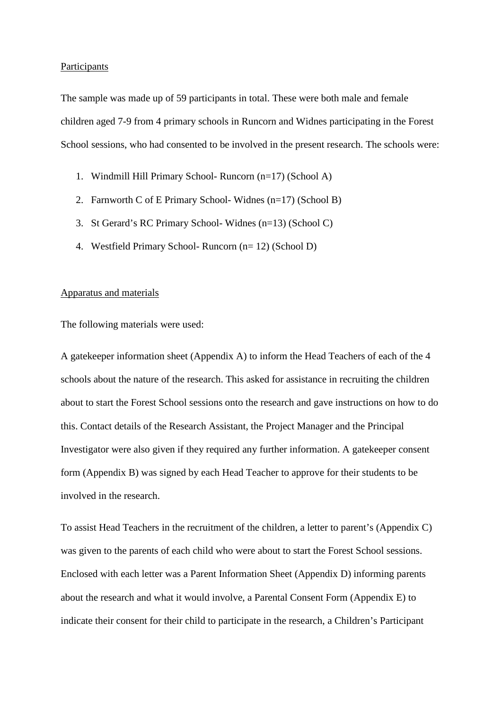#### **Participants**

The sample was made up of 59 participants in total. These were both male and female children aged 7-9 from 4 primary schools in Runcorn and Widnes participating in the Forest School sessions, who had consented to be involved in the present research. The schools were:

- 1. Windmill Hill Primary School- Runcorn (n=17) (School A)
- 2. Farnworth C of E Primary School- Widnes (n=17) (School B)
- 3. St Gerard's RC Primary School- Widnes (n=13) (School C)
- 4. Westfield Primary School- Runcorn (n= 12) (School D)

#### Apparatus and materials

The following materials were used:

A gatekeeper information sheet (Appendix A) to inform the Head Teachers of each of the 4 schools about the nature of the research. This asked for assistance in recruiting the children about to start the Forest School sessions onto the research and gave instructions on how to do this. Contact details of the Research Assistant, the Project Manager and the Principal Investigator were also given if they required any further information. A gatekeeper consent form (Appendix B) was signed by each Head Teacher to approve for their students to be involved in the research.

To assist Head Teachers in the recruitment of the children, a letter to parent's (Appendix C) was given to the parents of each child who were about to start the Forest School sessions. Enclosed with each letter was a Parent Information Sheet (Appendix D) informing parents about the research and what it would involve, a Parental Consent Form (Appendix E) to indicate their consent for their child to participate in the research, a Children's Participant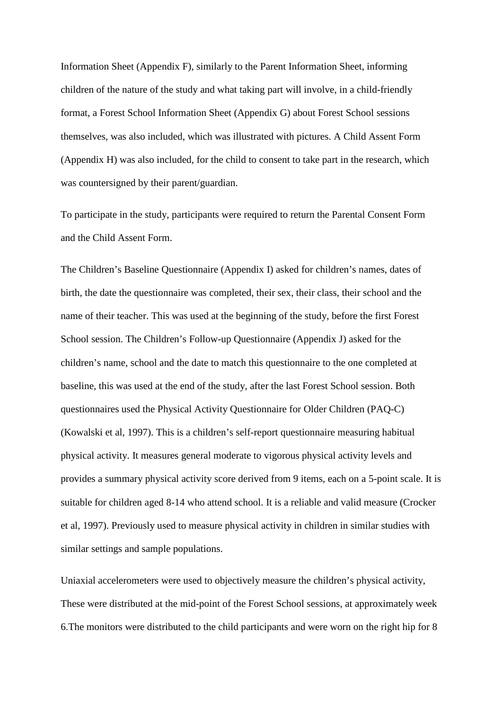Information Sheet (Appendix F), similarly to the Parent Information Sheet, informing children of the nature of the study and what taking part will involve, in a child-friendly format, a Forest School Information Sheet (Appendix G) about Forest School sessions themselves, was also included, which was illustrated with pictures. A Child Assent Form (Appendix H) was also included, for the child to consent to take part in the research, which was countersigned by their parent/guardian.

To participate in the study, participants were required to return the Parental Consent Form and the Child Assent Form.

The Children's Baseline Questionnaire (Appendix I) asked for children's names, dates of birth, the date the questionnaire was completed, their sex, their class, their school and the name of their teacher. This was used at the beginning of the study, before the first Forest School session. The Children's Follow-up Questionnaire (Appendix J) asked for the children's name, school and the date to match this questionnaire to the one completed at baseline, this was used at the end of the study, after the last Forest School session. Both questionnaires used the Physical Activity Questionnaire for Older Children (PAQ-C) (Kowalski et al, 1997). This is a children's self-report questionnaire measuring habitual physical activity. It measures general moderate to vigorous physical activity levels and provides a summary physical activity score derived from 9 items, each on a 5-point scale. It is suitable for children aged 8-14 who attend school. It is a reliable and valid measure (Crocker et al, 1997). Previously used to measure physical activity in children in similar studies with similar settings and sample populations.

Uniaxial accelerometers were used to objectively measure the children's physical activity, These were distributed at the mid-point of the Forest School sessions, at approximately week 6.The monitors were distributed to the child participants and were worn on the right hip for 8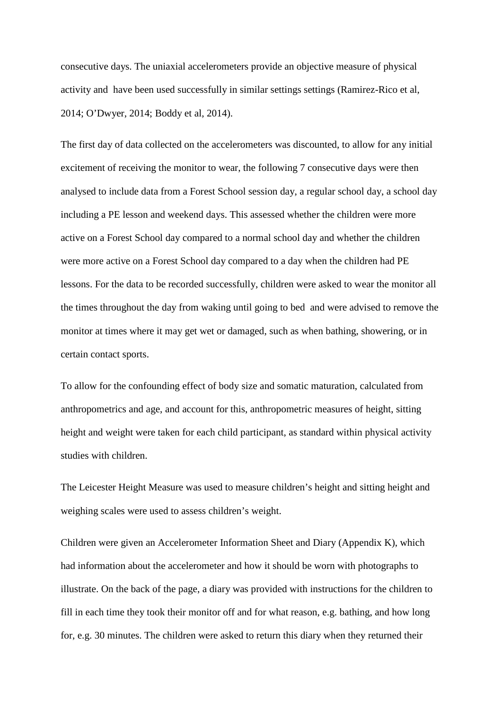consecutive days. The uniaxial accelerometers provide an objective measure of physical activity and have been used successfully in similar settings settings (Ramirez-Rico et al, 2014; O'Dwyer, 2014; Boddy et al, 2014).

The first day of data collected on the accelerometers was discounted, to allow for any initial excitement of receiving the monitor to wear, the following 7 consecutive days were then analysed to include data from a Forest School session day, a regular school day, a school day including a PE lesson and weekend days. This assessed whether the children were more active on a Forest School day compared to a normal school day and whether the children were more active on a Forest School day compared to a day when the children had PE lessons. For the data to be recorded successfully, children were asked to wear the monitor all the times throughout the day from waking until going to bed and were advised to remove the monitor at times where it may get wet or damaged, such as when bathing, showering, or in certain contact sports.

To allow for the confounding effect of body size and somatic maturation, calculated from anthropometrics and age, and account for this, anthropometric measures of height, sitting height and weight were taken for each child participant, as standard within physical activity studies with children.

The Leicester Height Measure was used to measure children's height and sitting height and weighing scales were used to assess children's weight.

Children were given an Accelerometer Information Sheet and Diary (Appendix K), which had information about the accelerometer and how it should be worn with photographs to illustrate. On the back of the page, a diary was provided with instructions for the children to fill in each time they took their monitor off and for what reason, e.g. bathing, and how long for, e.g. 30 minutes. The children were asked to return this diary when they returned their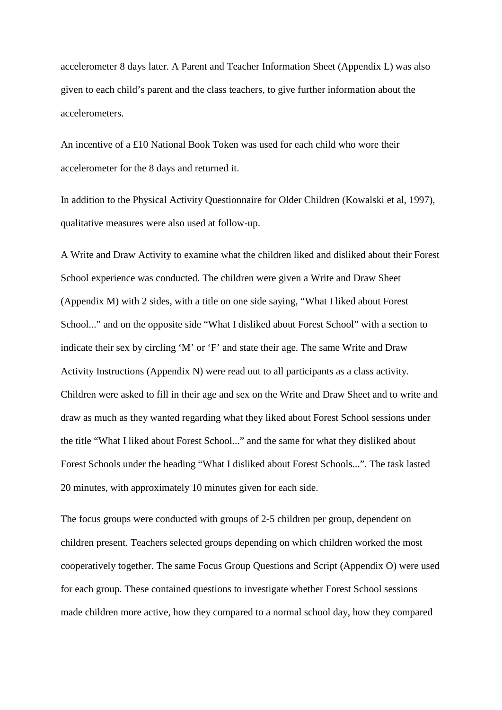accelerometer 8 days later. A Parent and Teacher Information Sheet (Appendix L) was also given to each child's parent and the class teachers, to give further information about the accelerometers.

An incentive of a £10 National Book Token was used for each child who wore their accelerometer for the 8 days and returned it.

In addition to the Physical Activity Questionnaire for Older Children (Kowalski et al, 1997), qualitative measures were also used at follow-up.

A Write and Draw Activity to examine what the children liked and disliked about their Forest School experience was conducted. The children were given a Write and Draw Sheet (Appendix M) with 2 sides, with a title on one side saying, "What I liked about Forest School..." and on the opposite side "What I disliked about Forest School" with a section to indicate their sex by circling 'M' or 'F' and state their age. The same Write and Draw Activity Instructions (Appendix N) were read out to all participants as a class activity. Children were asked to fill in their age and sex on the Write and Draw Sheet and to write and draw as much as they wanted regarding what they liked about Forest School sessions under the title "What I liked about Forest School..." and the same for what they disliked about Forest Schools under the heading "What I disliked about Forest Schools...". The task lasted 20 minutes, with approximately 10 minutes given for each side.

The focus groups were conducted with groups of 2-5 children per group, dependent on children present. Teachers selected groups depending on which children worked the most cooperatively together. The same Focus Group Questions and Script (Appendix O) were used for each group. These contained questions to investigate whether Forest School sessions made children more active, how they compared to a normal school day, how they compared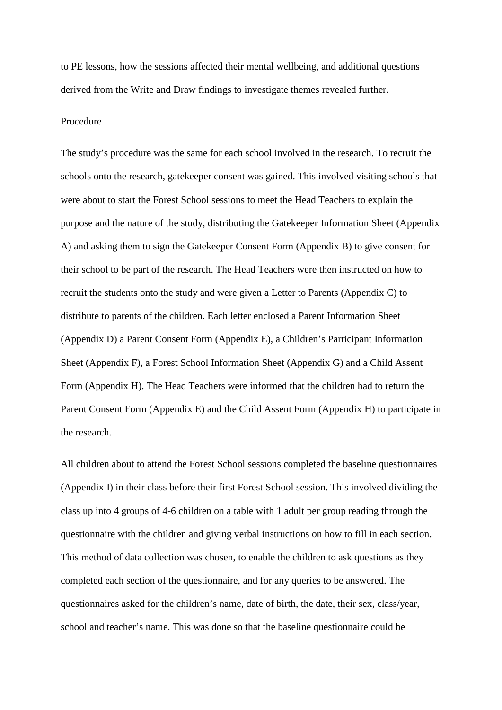to PE lessons, how the sessions affected their mental wellbeing, and additional questions derived from the Write and Draw findings to investigate themes revealed further.

#### Procedure

The study's procedure was the same for each school involved in the research. To recruit the schools onto the research, gatekeeper consent was gained. This involved visiting schools that were about to start the Forest School sessions to meet the Head Teachers to explain the purpose and the nature of the study, distributing the Gatekeeper Information Sheet (Appendix A) and asking them to sign the Gatekeeper Consent Form (Appendix B) to give consent for their school to be part of the research. The Head Teachers were then instructed on how to recruit the students onto the study and were given a Letter to Parents (Appendix C) to distribute to parents of the children. Each letter enclosed a Parent Information Sheet (Appendix D) a Parent Consent Form (Appendix E), a Children's Participant Information Sheet (Appendix F), a Forest School Information Sheet (Appendix G) and a Child Assent Form (Appendix H). The Head Teachers were informed that the children had to return the Parent Consent Form (Appendix E) and the Child Assent Form (Appendix H) to participate in the research.

All children about to attend the Forest School sessions completed the baseline questionnaires (Appendix I) in their class before their first Forest School session. This involved dividing the class up into 4 groups of 4-6 children on a table with 1 adult per group reading through the questionnaire with the children and giving verbal instructions on how to fill in each section. This method of data collection was chosen, to enable the children to ask questions as they completed each section of the questionnaire, and for any queries to be answered. The questionnaires asked for the children's name, date of birth, the date, their sex, class/year, school and teacher's name. This was done so that the baseline questionnaire could be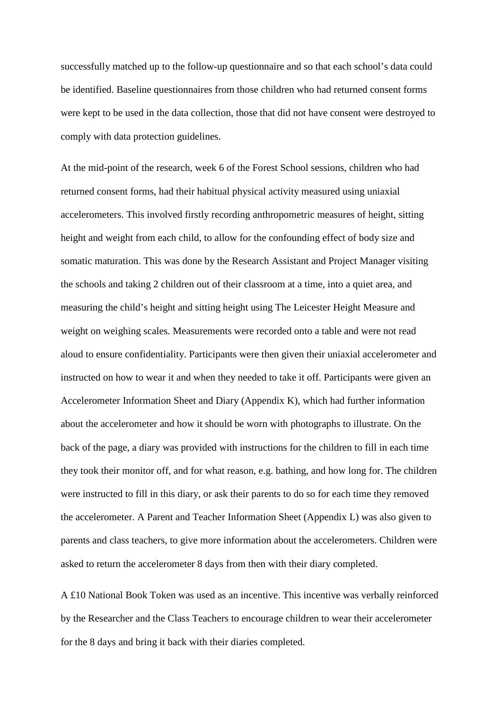successfully matched up to the follow-up questionnaire and so that each school's data could be identified. Baseline questionnaires from those children who had returned consent forms were kept to be used in the data collection, those that did not have consent were destroyed to comply with data protection guidelines.

At the mid-point of the research, week 6 of the Forest School sessions, children who had returned consent forms, had their habitual physical activity measured using uniaxial accelerometers. This involved firstly recording anthropometric measures of height, sitting height and weight from each child, to allow for the confounding effect of body size and somatic maturation. This was done by the Research Assistant and Project Manager visiting the schools and taking 2 children out of their classroom at a time, into a quiet area, and measuring the child's height and sitting height using The Leicester Height Measure and weight on weighing scales. Measurements were recorded onto a table and were not read aloud to ensure confidentiality. Participants were then given their uniaxial accelerometer and instructed on how to wear it and when they needed to take it off. Participants were given an Accelerometer Information Sheet and Diary (Appendix K), which had further information about the accelerometer and how it should be worn with photographs to illustrate. On the back of the page, a diary was provided with instructions for the children to fill in each time they took their monitor off, and for what reason, e.g. bathing, and how long for. The children were instructed to fill in this diary, or ask their parents to do so for each time they removed the accelerometer. A Parent and Teacher Information Sheet (Appendix L) was also given to parents and class teachers, to give more information about the accelerometers. Children were asked to return the accelerometer 8 days from then with their diary completed.

A £10 National Book Token was used as an incentive. This incentive was verbally reinforced by the Researcher and the Class Teachers to encourage children to wear their accelerometer for the 8 days and bring it back with their diaries completed.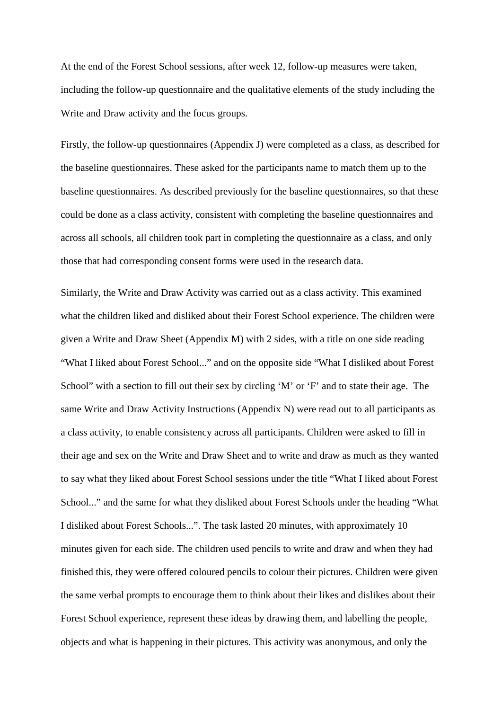At the end of the Forest School sessions, after week 12, follow-up measures were taken, including the follow-up questionnaire and the qualitative elements of the study including the Write and Draw activity and the focus groups.

Firstly, the follow-up questionnaires (Appendix J) were completed as a class, as described for the baseline questionnaires. These asked for the participants name to match them up to the baseline questionnaires. As described previously for the baseline questionnaires, so that these could be done as a class activity, consistent with completing the baseline questionnaires and across all schools, all children took part in completing the questionnaire as a class, and only those that had corresponding consent forms were used in the research data.

Similarly, the Write and Draw Activity was carried out as a class activity. This examined what the children liked and disliked about their Forest School experience. The children were given a Write and Draw Sheet (Appendix M) with 2 sides, with a title on one side reading "What I liked about Forest School..." and on the opposite side "What I disliked about Forest School" with a section to fill out their sex by circling 'M' or 'F' and to state their age. The same Write and Draw Activity Instructions (Appendix N) were read out to all participants as a class activity, to enable consistency across all participants. Children were asked to fill in their age and sex on the Write and Draw Sheet and to write and draw as much as they wanted to say what they liked about Forest School sessions under the title "What I liked about Forest School..." and the same for what they disliked about Forest Schools under the heading "What I disliked about Forest Schools...". The task lasted 20 minutes, with approximately 10 minutes given for each side. The children used pencils to write and draw and when they had finished this, they were offered coloured pencils to colour their pictures. Children were given the same verbal prompts to encourage them to think about their likes and dislikes about their Forest School experience, represent these ideas by drawing them, and labelling the people, objects and what is happening in their pictures. This activity was anonymous, and only the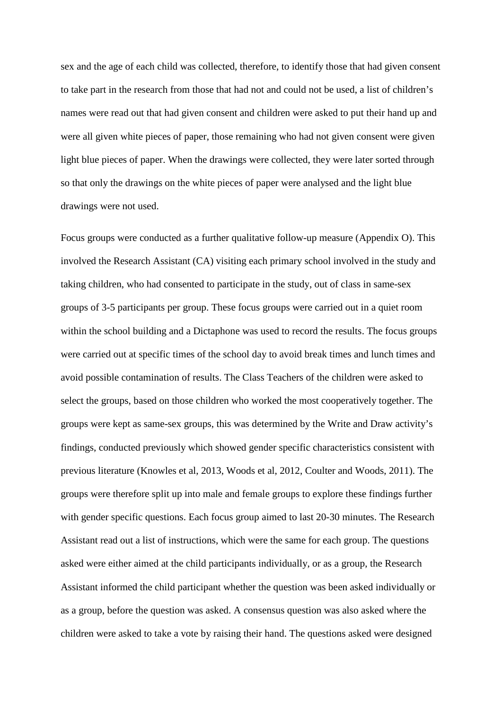sex and the age of each child was collected, therefore, to identify those that had given consent to take part in the research from those that had not and could not be used, a list of children's names were read out that had given consent and children were asked to put their hand up and were all given white pieces of paper, those remaining who had not given consent were given light blue pieces of paper. When the drawings were collected, they were later sorted through so that only the drawings on the white pieces of paper were analysed and the light blue drawings were not used.

Focus groups were conducted as a further qualitative follow-up measure (Appendix O). This involved the Research Assistant (CA) visiting each primary school involved in the study and taking children, who had consented to participate in the study, out of class in same-sex groups of 3-5 participants per group. These focus groups were carried out in a quiet room within the school building and a Dictaphone was used to record the results. The focus groups were carried out at specific times of the school day to avoid break times and lunch times and avoid possible contamination of results. The Class Teachers of the children were asked to select the groups, based on those children who worked the most cooperatively together. The groups were kept as same-sex groups, this was determined by the Write and Draw activity's findings, conducted previously which showed gender specific characteristics consistent with previous literature (Knowles et al, 2013, Woods et al, 2012, Coulter and Woods, 2011). The groups were therefore split up into male and female groups to explore these findings further with gender specific questions. Each focus group aimed to last 20-30 minutes. The Research Assistant read out a list of instructions, which were the same for each group. The questions asked were either aimed at the child participants individually, or as a group, the Research Assistant informed the child participant whether the question was been asked individually or as a group, before the question was asked. A consensus question was also asked where the children were asked to take a vote by raising their hand. The questions asked were designed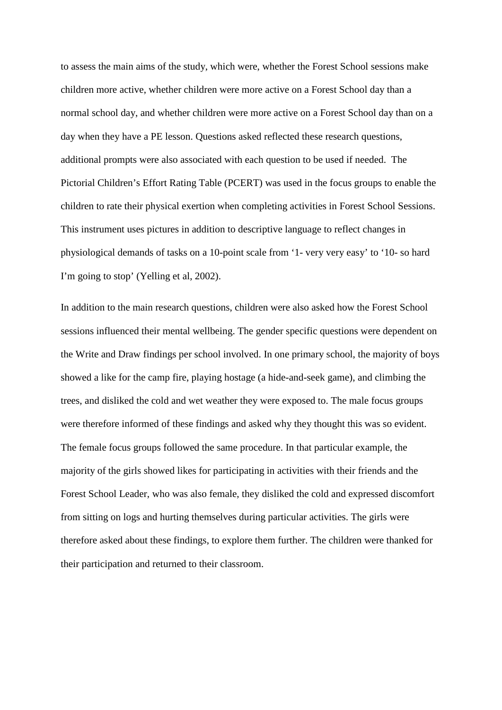to assess the main aims of the study, which were, whether the Forest School sessions make children more active, whether children were more active on a Forest School day than a normal school day, and whether children were more active on a Forest School day than on a day when they have a PE lesson. Questions asked reflected these research questions, additional prompts were also associated with each question to be used if needed. The Pictorial Children's Effort Rating Table (PCERT) was used in the focus groups to enable the children to rate their physical exertion when completing activities in Forest School Sessions. This instrument uses pictures in addition to descriptive language to reflect changes in physiological demands of tasks on a 10-point scale from '1- very very easy' to '10- so hard I'm going to stop' (Yelling et al, 2002).

In addition to the main research questions, children were also asked how the Forest School sessions influenced their mental wellbeing. The gender specific questions were dependent on the Write and Draw findings per school involved. In one primary school, the majority of boys showed a like for the camp fire, playing hostage (a hide-and-seek game), and climbing the trees, and disliked the cold and wet weather they were exposed to. The male focus groups were therefore informed of these findings and asked why they thought this was so evident. The female focus groups followed the same procedure. In that particular example, the majority of the girls showed likes for participating in activities with their friends and the Forest School Leader, who was also female, they disliked the cold and expressed discomfort from sitting on logs and hurting themselves during particular activities. The girls were therefore asked about these findings, to explore them further. The children were thanked for their participation and returned to their classroom.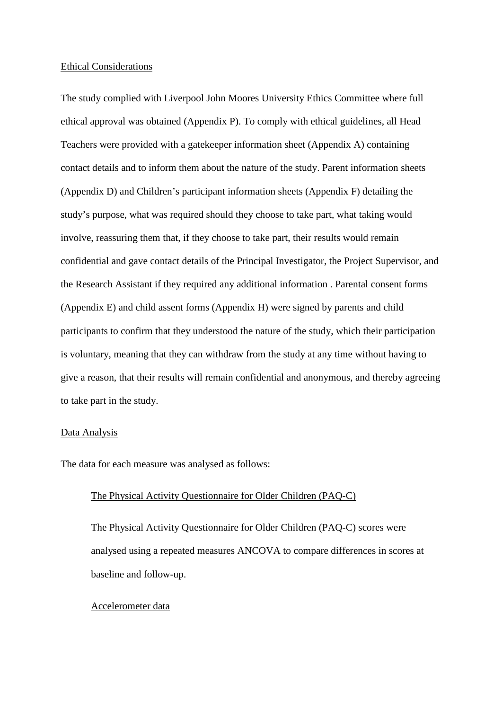#### Ethical Considerations

The study complied with Liverpool John Moores University Ethics Committee where full ethical approval was obtained (Appendix P). To comply with ethical guidelines, all Head Teachers were provided with a gatekeeper information sheet (Appendix A) containing contact details and to inform them about the nature of the study. Parent information sheets (Appendix D) and Children's participant information sheets (Appendix F) detailing the study's purpose, what was required should they choose to take part, what taking would involve, reassuring them that, if they choose to take part, their results would remain confidential and gave contact details of the Principal Investigator, the Project Supervisor, and the Research Assistant if they required any additional information . Parental consent forms (Appendix E) and child assent forms (Appendix H) were signed by parents and child participants to confirm that they understood the nature of the study, which their participation is voluntary, meaning that they can withdraw from the study at any time without having to give a reason, that their results will remain confidential and anonymous, and thereby agreeing to take part in the study.

#### Data Analysis

The data for each measure was analysed as follows:

# The Physical Activity Questionnaire for Older Children (PAQ-C)

The Physical Activity Questionnaire for Older Children (PAQ-C) scores were analysed using a repeated measures ANCOVA to compare differences in scores at baseline and follow-up.

#### Accelerometer data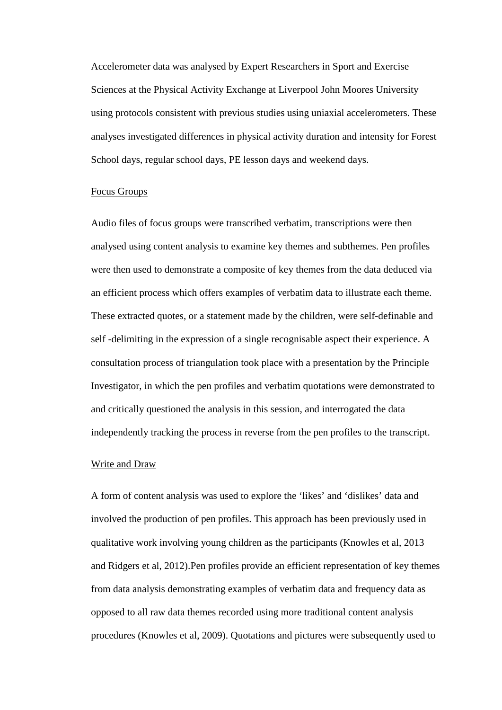Accelerometer data was analysed by Expert Researchers in Sport and Exercise Sciences at the Physical Activity Exchange at Liverpool John Moores University using protocols consistent with previous studies using uniaxial accelerometers. These analyses investigated differences in physical activity duration and intensity for Forest School days, regular school days, PE lesson days and weekend days.

#### Focus Groups

Audio files of focus groups were transcribed verbatim, transcriptions were then analysed using content analysis to examine key themes and subthemes. Pen profiles were then used to demonstrate a composite of key themes from the data deduced via an efficient process which offers examples of verbatim data to illustrate each theme. These extracted quotes, or a statement made by the children, were self-definable and self -delimiting in the expression of a single recognisable aspect their experience. A consultation process of triangulation took place with a presentation by the Principle Investigator, in which the pen profiles and verbatim quotations were demonstrated to and critically questioned the analysis in this session, and interrogated the data independently tracking the process in reverse from the pen profiles to the transcript.

#### Write and Draw

A form of content analysis was used to explore the 'likes' and 'dislikes' data and involved the production of pen profiles. This approach has been previously used in qualitative work involving young children as the participants (Knowles et al, 2013 and Ridgers et al, 2012).Pen profiles provide an efficient representation of key themes from data analysis demonstrating examples of verbatim data and frequency data as opposed to all raw data themes recorded using more traditional content analysis procedures (Knowles et al, 2009). Quotations and pictures were subsequently used to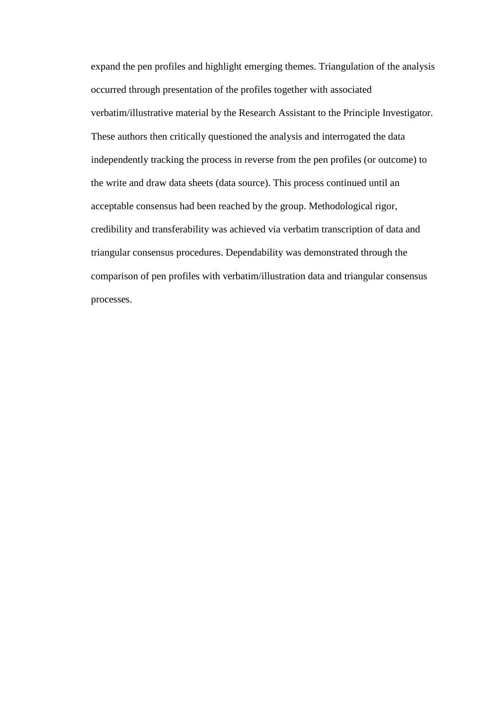expand the pen profiles and highlight emerging themes. Triangulation of the analysis occurred through presentation of the profiles together with associated verbatim/illustrative material by the Research Assistant to the Principle Investigator. These authors then critically questioned the analysis and interrogated the data independently tracking the process in reverse from the pen profiles (or outcome) to the write and draw data sheets (data source). This process continued until an acceptable consensus had been reached by the group. Methodological rigor, credibility and transferability was achieved via verbatim transcription of data and triangular consensus procedures. Dependability was demonstrated through the comparison of pen profiles with verbatim/illustration data and triangular consensus processes.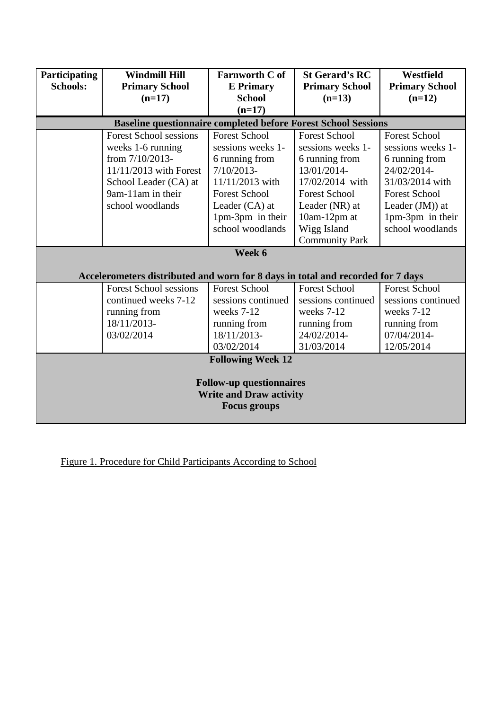| Participating                                                         | <b>Windmill Hill</b>                                                            | <b>Farnworth C of</b>    | <b>St Gerard's RC</b> | <b>Westfield</b>      |  |  |  |
|-----------------------------------------------------------------------|---------------------------------------------------------------------------------|--------------------------|-----------------------|-----------------------|--|--|--|
| <b>Schools:</b>                                                       | <b>Primary School</b>                                                           | <b>E</b> Primary         | <b>Primary School</b> | <b>Primary School</b> |  |  |  |
|                                                                       | $(n=17)$                                                                        | <b>School</b>            | $(n=13)$              | $(n=12)$              |  |  |  |
|                                                                       |                                                                                 | $(n=17)$                 |                       |                       |  |  |  |
| <b>Baseline questionnaire completed before Forest School Sessions</b> |                                                                                 |                          |                       |                       |  |  |  |
|                                                                       | <b>Forest School sessions</b>                                                   | <b>Forest School</b>     | <b>Forest School</b>  | <b>Forest School</b>  |  |  |  |
|                                                                       | weeks 1-6 running                                                               | sessions weeks 1-        | sessions weeks 1-     | sessions weeks 1-     |  |  |  |
|                                                                       | from 7/10/2013-                                                                 | 6 running from           | 6 running from        | 6 running from        |  |  |  |
|                                                                       | 11/11/2013 with Forest                                                          | $7/10/2013-$             | 13/01/2014-           | 24/02/2014-           |  |  |  |
|                                                                       | School Leader (CA) at                                                           | 11/11/2013 with          | 17/02/2014 with       | 31/03/2014 with       |  |  |  |
|                                                                       | 9am-11am in their                                                               | <b>Forest School</b>     | <b>Forest School</b>  | <b>Forest School</b>  |  |  |  |
|                                                                       | school woodlands                                                                | Leader (CA) at           | Leader (NR) at        | Leader $(JM)$ ) at    |  |  |  |
|                                                                       |                                                                                 | 1pm-3pm in their         | 10am-12pm at          | 1pm-3pm in their      |  |  |  |
|                                                                       |                                                                                 | school woodlands         | Wigg Island           | school woodlands      |  |  |  |
|                                                                       |                                                                                 |                          | <b>Community Park</b> |                       |  |  |  |
|                                                                       |                                                                                 | Week 6                   |                       |                       |  |  |  |
|                                                                       |                                                                                 |                          |                       |                       |  |  |  |
|                                                                       | Accelerometers distributed and worn for 8 days in total and recorded for 7 days |                          |                       |                       |  |  |  |
|                                                                       | <b>Forest School sessions</b>                                                   | <b>Forest School</b>     | <b>Forest School</b>  | <b>Forest School</b>  |  |  |  |
|                                                                       | continued weeks 7-12                                                            | sessions continued       | sessions continued    | sessions continued    |  |  |  |
|                                                                       | running from                                                                    | weeks 7-12               | weeks 7-12            | weeks 7-12            |  |  |  |
|                                                                       | 18/11/2013-                                                                     | running from             | running from          | running from          |  |  |  |
|                                                                       | 03/02/2014                                                                      | 18/11/2013-              | 24/02/2014-           | 07/04/2014-           |  |  |  |
|                                                                       |                                                                                 | 03/02/2014               | 31/03/2014            | 12/05/2014            |  |  |  |
|                                                                       |                                                                                 | <b>Following Week 12</b> |                       |                       |  |  |  |
|                                                                       |                                                                                 |                          |                       |                       |  |  |  |
| <b>Follow-up questionnaires</b>                                       |                                                                                 |                          |                       |                       |  |  |  |
| <b>Write and Draw activity</b>                                        |                                                                                 |                          |                       |                       |  |  |  |
| <b>Focus groups</b>                                                   |                                                                                 |                          |                       |                       |  |  |  |
|                                                                       |                                                                                 |                          |                       |                       |  |  |  |

Figure 1. Procedure for Child Participants According to School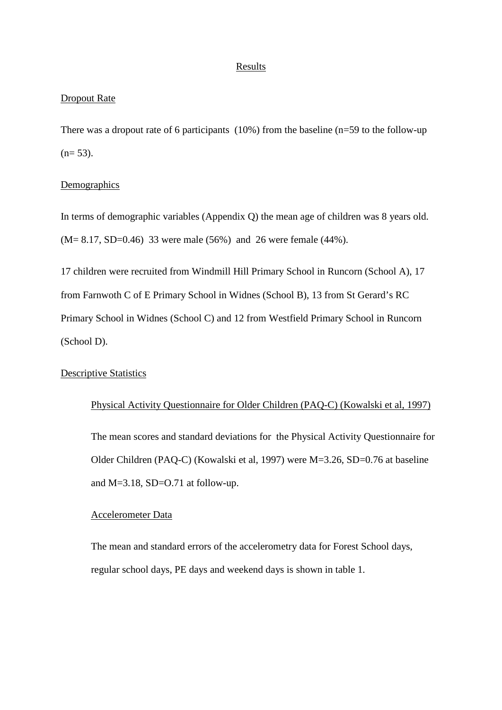#### Results

# Dropout Rate

There was a dropout rate of 6 participants (10%) from the baseline (n=59 to the follow-up  $(n= 53)$ .

## Demographics

In terms of demographic variables (Appendix Q) the mean age of children was 8 years old. (M= 8.17, SD=0.46) 33 were male (56%) and 26 were female (44%).

17 children were recruited from Windmill Hill Primary School in Runcorn (School A), 17 from Farnwoth C of E Primary School in Widnes (School B), 13 from St Gerard's RC Primary School in Widnes (School C) and 12 from Westfield Primary School in Runcorn (School D).

# Descriptive Statistics

# Physical Activity Questionnaire for Older Children (PAQ-C) (Kowalski et al, 1997) The mean scores and standard deviations for the Physical Activity Questionnaire for Older Children (PAQ-C) (Kowalski et al, 1997) were M=3.26, SD=0.76 at baseline

and M=3.18, SD=O.71 at follow-up.

# Accelerometer Data

The mean and standard errors of the accelerometry data for Forest School days, regular school days, PE days and weekend days is shown in table 1.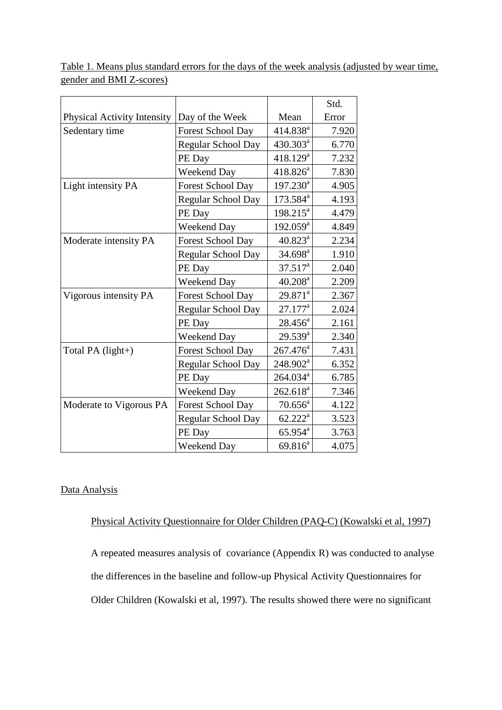|                             |                           |                      | Std.  |
|-----------------------------|---------------------------|----------------------|-------|
| Physical Activity Intensity | Day of the Week           | Mean                 | Error |
| Sedentary time              | <b>Forest School Day</b>  | 414.838 <sup>a</sup> | 7.920 |
|                             | Regular School Day        | 430.303 <sup>a</sup> | 6.770 |
|                             | PE Day                    | $418.129^a$          | 7.232 |
|                             | <b>Weekend Day</b>        | $418.826^a$          | 7.830 |
| Light intensity PA          | <b>Forest School Day</b>  | $197.230^{a}$        | 4.905 |
|                             | Regular School Day        | $173.584^a$          | 4.193 |
|                             | PE Day                    | $198.215^a$          | 4.479 |
|                             | Weekend Day               | $192.059^a$          | 4.849 |
| Moderate intensity PA       | Forest School Day         | $40.823^a$           | 2.234 |
|                             | Regular School Day        | $34.698^{\text{a}}$  | 1.910 |
|                             | PE Day                    | $37.517^a$           | 2.040 |
|                             | Weekend Day               | $40.208^a$           | 2.209 |
| Vigorous intensity PA       | Forest School Day         | $29.871^a$           | 2.367 |
|                             | Regular School Day        | $27.177^a$           | 2.024 |
|                             | PE Day                    | $28.456^a$           | 2.161 |
|                             | Weekend Day               | $29.539^{a}$         | 2.340 |
| Total PA (light+)           | <b>Forest School Day</b>  | $267.476^a$          | 7.431 |
|                             | <b>Regular School Day</b> | 248.902 <sup>a</sup> | 6.352 |
|                             | PE Day                    | 264.034 <sup>a</sup> | 6.785 |
|                             | Weekend Day               | $262.618^a$          | 7.346 |
| Moderate to Vigorous PA     | Forest School Day         | $70.656^a$           | 4.122 |
|                             | Regular School Day        | $62.222^a$           | 3.523 |
|                             | PE Day                    | $65.954^{\text{a}}$  | 3.763 |
|                             | Weekend Day               | $69.816^{a}$         | 4.075 |

Table 1. Means plus standard errors for the days of the week analysis (adjusted by wear time, gender and BMI Z-scores)

# Data Analysis

# Physical Activity Questionnaire for Older Children (PAQ-C) (Kowalski et al, 1997)

A repeated measures analysis of covariance (Appendix R) was conducted to analyse the differences in the baseline and follow-up Physical Activity Questionnaires for Older Children (Kowalski et al, 1997). The results showed there were no significant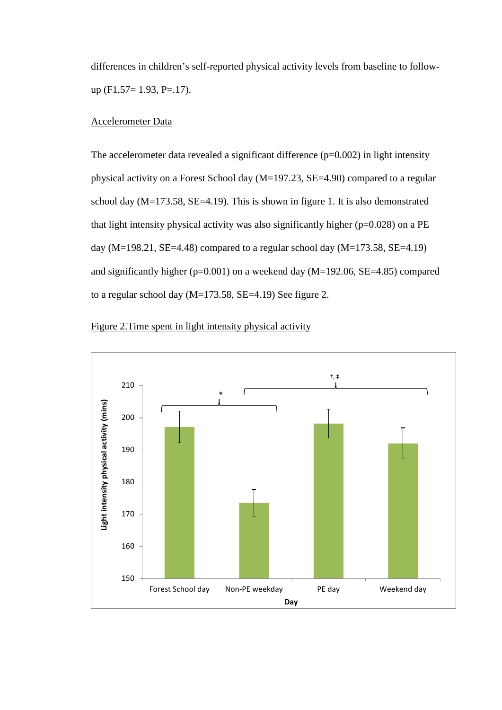differences in children's self-reported physical activity levels from baseline to followup  $(F1,57=1.93, P=.17)$ .

# Accelerometer Data

The accelerometer data revealed a significant difference  $(p=0.002)$  in light intensity physical activity on a Forest School day (M=197.23, SE=4.90) compared to a regular school day  $(M=173.58, SE=4.19)$ . This is shown in figure 1. It is also demonstrated that light intensity physical activity was also significantly higher (p=0.028) on a PE day (M=198.21, SE=4.48) compared to a regular school day (M=173.58, SE=4.19) and significantly higher (p=0.001) on a weekend day (M=192.06, SE=4.85) compared to a regular school day  $(M=173.58, SE=4.19)$  See figure 2.



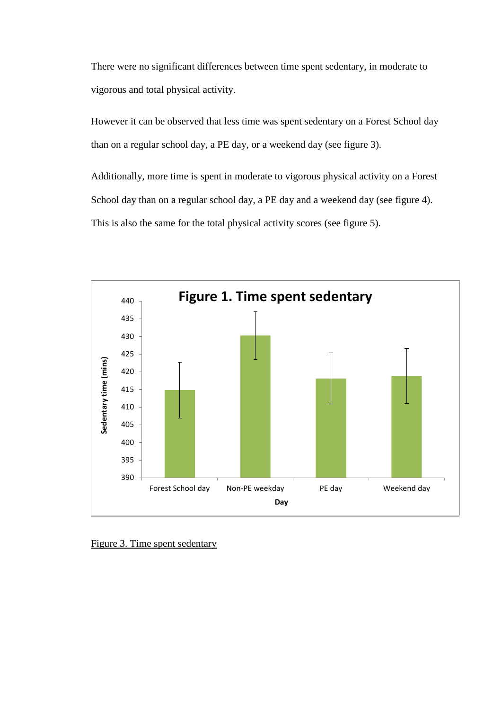There were no significant differences between time spent sedentary, in moderate to vigorous and total physical activity.

However it can be observed that less time was spent sedentary on a Forest School day than on a regular school day, a PE day, or a weekend day (see figure 3).

Additionally, more time is spent in moderate to vigorous physical activity on a Forest School day than on a regular school day, a PE day and a weekend day (see figure 4). This is also the same for the total physical activity scores (see figure 5).



Figure 3. Time spent sedentary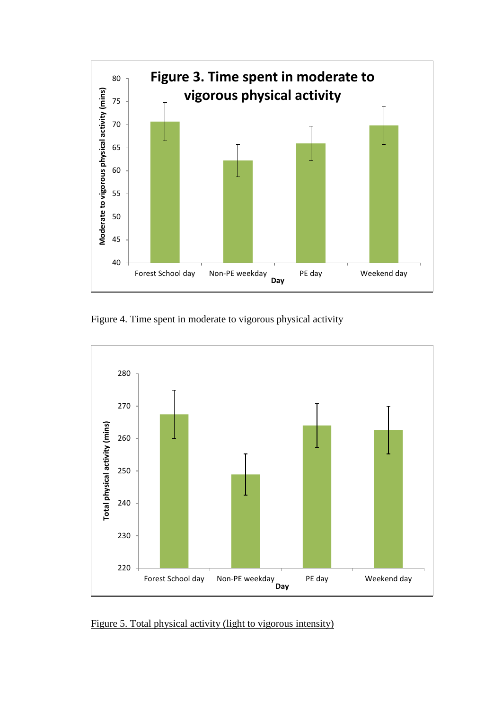

Figure 4. Time spent in moderate to vigorous physical activity



Figure 5. Total physical activity (light to vigorous intensity)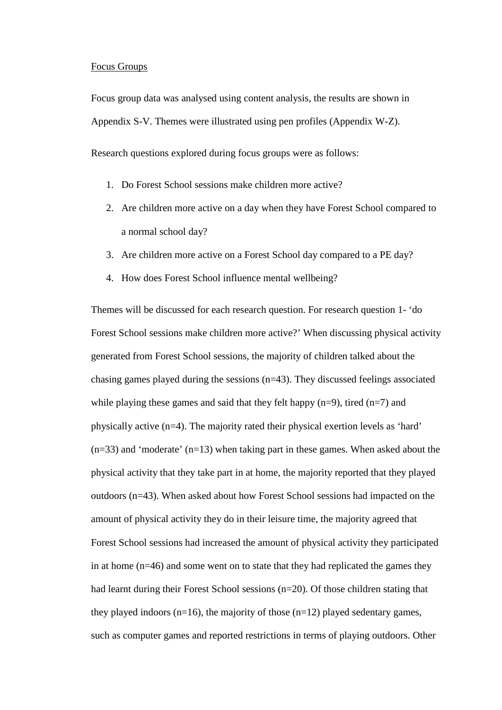#### Focus Groups

Focus group data was analysed using content analysis, the results are shown in Appendix S-V. Themes were illustrated using pen profiles (Appendix W-Z).

Research questions explored during focus groups were as follows:

- 1. Do Forest School sessions make children more active?
- 2. Are children more active on a day when they have Forest School compared to a normal school day?
- 3. Are children more active on a Forest School day compared to a PE day?
- 4. How does Forest School influence mental wellbeing?

Themes will be discussed for each research question. For research question 1- 'do Forest School sessions make children more active?' When discussing physical activity generated from Forest School sessions, the majority of children talked about the chasing games played during the sessions (n=43). They discussed feelings associated while playing these games and said that they felt happy  $(n=9)$ , tired  $(n=7)$  and physically active (n=4). The majority rated their physical exertion levels as 'hard'  $(n=33)$  and 'moderate'  $(n=13)$  when taking part in these games. When asked about the physical activity that they take part in at home, the majority reported that they played outdoors (n=43). When asked about how Forest School sessions had impacted on the amount of physical activity they do in their leisure time, the majority agreed that Forest School sessions had increased the amount of physical activity they participated in at home (n=46) and some went on to state that they had replicated the games they had learnt during their Forest School sessions (n=20). Of those children stating that they played indoors ( $n=16$ ), the majority of those ( $n=12$ ) played sedentary games, such as computer games and reported restrictions in terms of playing outdoors. Other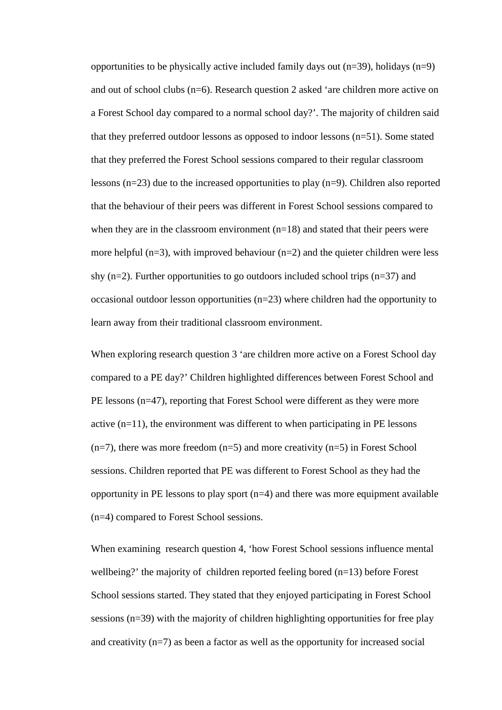opportunities to be physically active included family days out  $(n=39)$ , holidays  $(n=9)$ and out of school clubs (n=6). Research question 2 asked 'are children more active on a Forest School day compared to a normal school day?'. The majority of children said that they preferred outdoor lessons as opposed to indoor lessons (n=51). Some stated that they preferred the Forest School sessions compared to their regular classroom lessons (n=23) due to the increased opportunities to play (n=9). Children also reported that the behaviour of their peers was different in Forest School sessions compared to when they are in the classroom environment  $(n=18)$  and stated that their peers were more helpful ( $n=3$ ), with improved behaviour ( $n=2$ ) and the quieter children were less shy  $(n=2)$ . Further opportunities to go outdoors included school trips  $(n=37)$  and occasional outdoor lesson opportunities (n=23) where children had the opportunity to learn away from their traditional classroom environment.

When exploring research question 3 'are children more active on a Forest School day compared to a PE day?' Children highlighted differences between Forest School and PE lessons (n=47), reporting that Forest School were different as they were more active (n=11), the environment was different to when participating in PE lessons  $(n=7)$ , there was more freedom  $(n=5)$  and more creativity  $(n=5)$  in Forest School sessions. Children reported that PE was different to Forest School as they had the opportunity in PE lessons to play sport  $(n=4)$  and there was more equipment available (n=4) compared to Forest School sessions.

When examining research question 4, 'how Forest School sessions influence mental wellbeing?' the majority of children reported feeling bored (n=13) before Forest School sessions started. They stated that they enjoyed participating in Forest School sessions (n=39) with the majority of children highlighting opportunities for free play and creativity (n=7) as been a factor as well as the opportunity for increased social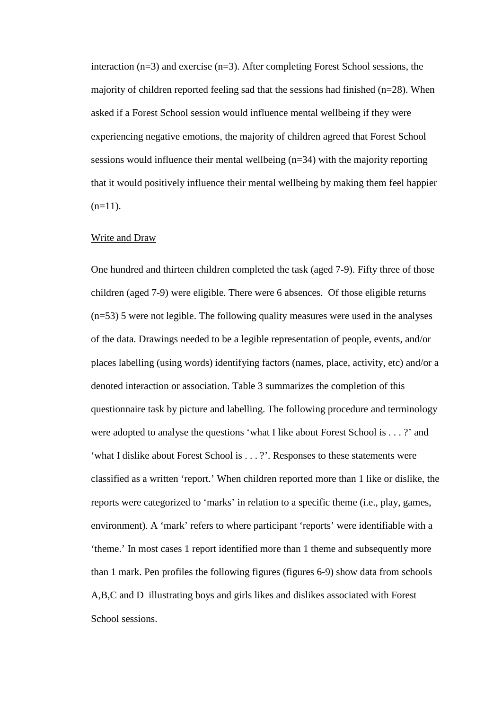interaction (n=3) and exercise (n=3). After completing Forest School sessions, the majority of children reported feeling sad that the sessions had finished (n=28). When asked if a Forest School session would influence mental wellbeing if they were experiencing negative emotions, the majority of children agreed that Forest School sessions would influence their mental wellbeing (n=34) with the majority reporting that it would positively influence their mental wellbeing by making them feel happier  $(n=11)$ .

#### Write and Draw

One hundred and thirteen children completed the task (aged 7-9). Fifty three of those children (aged 7-9) were eligible. There were 6 absences. Of those eligible returns (n=53) 5 were not legible. The following quality measures were used in the analyses of the data. Drawings needed to be a legible representation of people, events, and/or places labelling (using words) identifying factors (names, place, activity, etc) and/or a denoted interaction or association. Table 3 summarizes the completion of this questionnaire task by picture and labelling. The following procedure and terminology were adopted to analyse the questions 'what I like about Forest School is . . . ?' and 'what I dislike about Forest School is . . . ?'. Responses to these statements were classified as a written 'report.' When children reported more than 1 like or dislike, the reports were categorized to 'marks' in relation to a specific theme (i.e., play, games, environment). A 'mark' refers to where participant 'reports' were identifiable with a 'theme.' In most cases 1 report identified more than 1 theme and subsequently more than 1 mark. Pen profiles the following figures (figures 6-9) show data from schools A,B,C and D illustrating boys and girls likes and dislikes associated with Forest School sessions.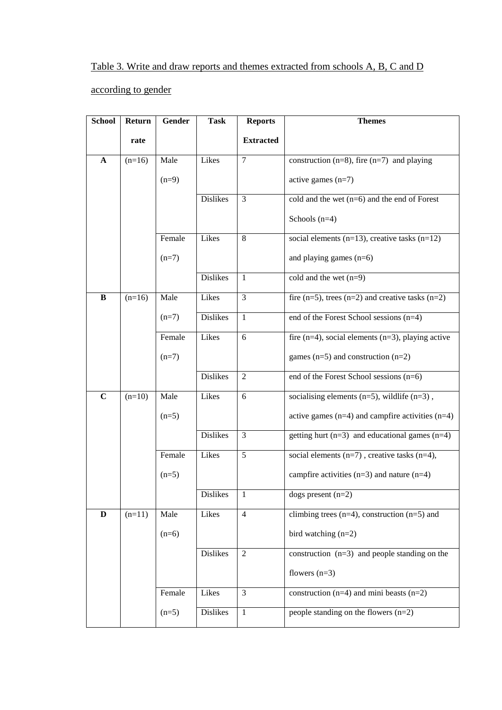# Table 3. Write and draw reports and themes extracted from schools A, B, C and D

# according to gender

| <b>School</b> | Return   | Gender  | <b>Task</b>     | <b>Reports</b>   | <b>Themes</b>                                           |
|---------------|----------|---------|-----------------|------------------|---------------------------------------------------------|
|               | rate     |         |                 | <b>Extracted</b> |                                                         |
| $\mathbf{A}$  | $(n=16)$ | Male    | Likes           | 7                | construction ( $n=8$ ), fire ( $n=7$ ) and playing      |
|               |          |         |                 |                  |                                                         |
|               |          | $(n=9)$ |                 |                  | active games $(n=7)$                                    |
|               |          |         | <b>Dislikes</b> | 3                | cold and the wet $(n=6)$ and the end of Forest          |
|               |          |         |                 |                  | Schools $(n=4)$                                         |
|               |          | Female  | Likes           | 8                | social elements $(n=13)$ , creative tasks $(n=12)$      |
|               |          | $(n=7)$ |                 |                  | and playing games $(n=6)$                               |
|               |          |         | <b>Dislikes</b> | 1                | cold and the wet $(n=9)$                                |
| B             | $(n=16)$ | Male    | Likes           | 3                | fire $(n=5)$ , trees $(n=2)$ and creative tasks $(n=2)$ |
|               |          | $(n=7)$ | <b>Dislikes</b> | 1                | end of the Forest School sessions (n=4)                 |
|               |          | Female  | Likes           | 6                | fire $(n=4)$ , social elements $(n=3)$ , playing active |
|               |          | $(n=7)$ |                 |                  | games $(n=5)$ and construction $(n=2)$                  |
|               |          |         | <b>Dislikes</b> | 2                | end of the Forest School sessions (n=6)                 |
| $\mathbf C$   | $(n=10)$ | Male    | Likes           | 6                | socialising elements $(n=5)$ , wildlife $(n=3)$ ,       |
|               |          | $(n=5)$ |                 |                  | active games $(n=4)$ and campfire activities $(n=4)$    |
|               |          |         | <b>Dislikes</b> | 3                | getting hurt $(n=3)$ and educational games $(n=4)$      |
|               |          | Female  | Likes           | 5                | social elements $(n=7)$ , creative tasks $(n=4)$ ,      |
|               |          | $(n=5)$ |                 |                  | campfire activities $(n=3)$ and nature $(n=4)$          |
|               |          |         | <b>Dislikes</b> | $\mathbf{I}$     | $\overline{\text{dogs}}$ present (n=2)                  |
| D             | $(n=11)$ | Male    | Likes           | $\overline{4}$   | climbing trees $(n=4)$ , construction $(n=5)$ and       |
|               |          | $(n=6)$ |                 |                  | bird watching $(n=2)$                                   |
|               |          |         |                 |                  |                                                         |
|               |          |         | <b>Dislikes</b> | $\overline{2}$   | construction $(n=3)$ and people standing on the         |
|               |          |         |                 |                  | flowers $(n=3)$                                         |
|               |          | Female  | Likes           | 3                | construction $(n=4)$ and mini beasts $(n=2)$            |
|               |          | $(n=5)$ | Dislikes        | $\mathbf{1}$     | people standing on the flowers $(n=2)$                  |
|               |          |         |                 |                  |                                                         |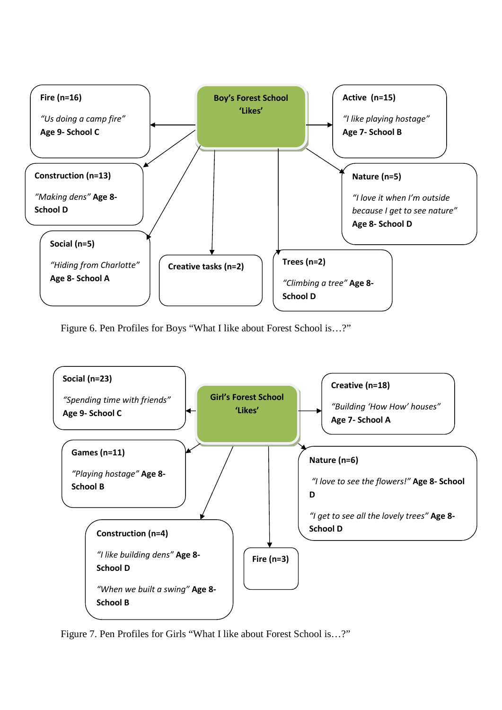

Figure 6. Pen Profiles for Boys "What I like about Forest School is…?"



Figure 7. Pen Profiles for Girls "What I like about Forest School is…?"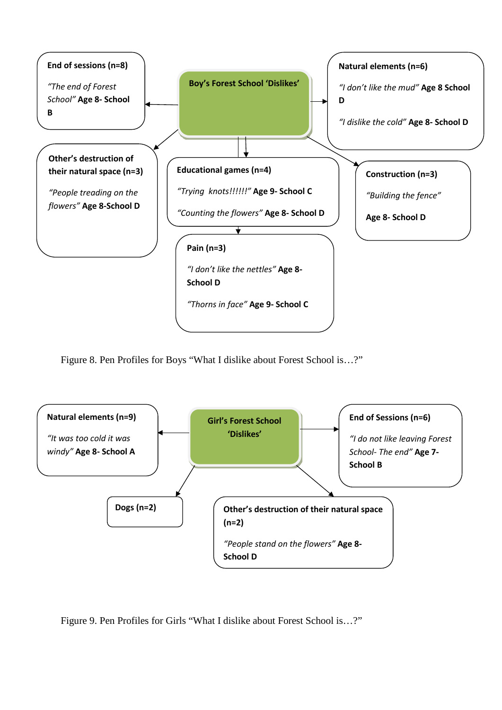

Figure 8. Pen Profiles for Boys "What I dislike about Forest School is…?"



Figure 9. Pen Profiles for Girls "What I dislike about Forest School is…?"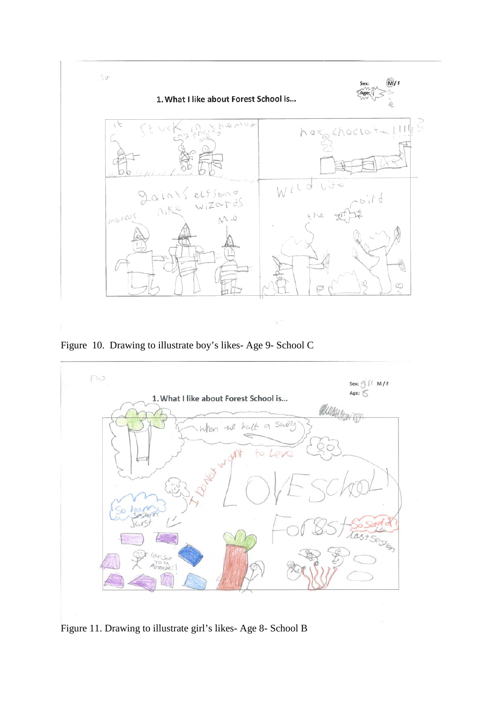

Figure 10. Drawing to illustrate boy's likes- Age 9- School C



Figure 11. Drawing to illustrate girl's likes- Age 8- School B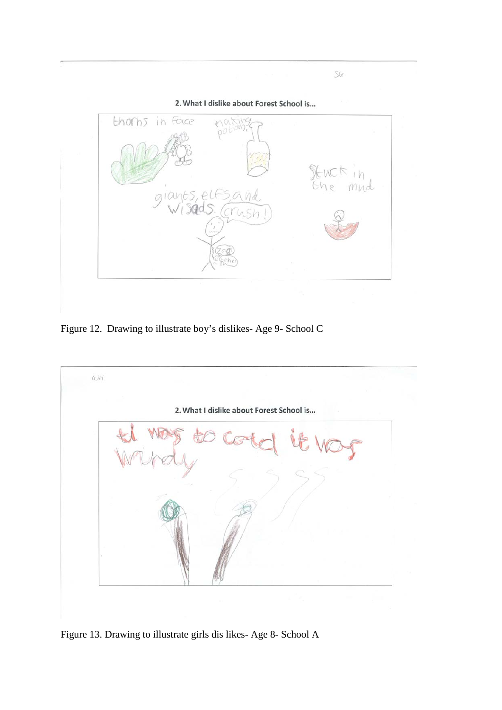

Figure 12. Drawing to illustrate boy's dislikes- Age 9- School C



Figure 13. Drawing to illustrate girls dis likes- Age 8- School A

 $\mathcal{S}(\alpha)$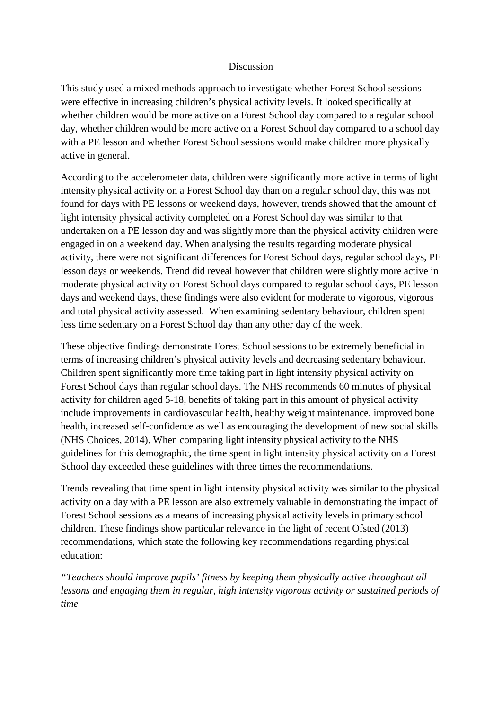# Discussion

This study used a mixed methods approach to investigate whether Forest School sessions were effective in increasing children's physical activity levels. It looked specifically at whether children would be more active on a Forest School day compared to a regular school day, whether children would be more active on a Forest School day compared to a school day with a PE lesson and whether Forest School sessions would make children more physically active in general.

According to the accelerometer data, children were significantly more active in terms of light intensity physical activity on a Forest School day than on a regular school day, this was not found for days with PE lessons or weekend days, however, trends showed that the amount of light intensity physical activity completed on a Forest School day was similar to that undertaken on a PE lesson day and was slightly more than the physical activity children were engaged in on a weekend day. When analysing the results regarding moderate physical activity, there were not significant differences for Forest School days, regular school days, PE lesson days or weekends. Trend did reveal however that children were slightly more active in moderate physical activity on Forest School days compared to regular school days, PE lesson days and weekend days, these findings were also evident for moderate to vigorous, vigorous and total physical activity assessed. When examining sedentary behaviour, children spent less time sedentary on a Forest School day than any other day of the week.

These objective findings demonstrate Forest School sessions to be extremely beneficial in terms of increasing children's physical activity levels and decreasing sedentary behaviour. Children spent significantly more time taking part in light intensity physical activity on Forest School days than regular school days. The NHS recommends 60 minutes of physical activity for children aged 5-18, benefits of taking part in this amount of physical activity include improvements in cardiovascular health, healthy weight maintenance, improved bone health, increased self-confidence as well as encouraging the development of new social skills (NHS Choices, 2014). When comparing light intensity physical activity to the NHS guidelines for this demographic, the time spent in light intensity physical activity on a Forest School day exceeded these guidelines with three times the recommendations.

Trends revealing that time spent in light intensity physical activity was similar to the physical activity on a day with a PE lesson are also extremely valuable in demonstrating the impact of Forest School sessions as a means of increasing physical activity levels in primary school children. These findings show particular relevance in the light of recent Ofsted (2013) recommendations, which state the following key recommendations regarding physical education:

*"Teachers should improve pupils' fitness by keeping them physically active throughout all lessons and engaging them in regular, high intensity vigorous activity or sustained periods of time*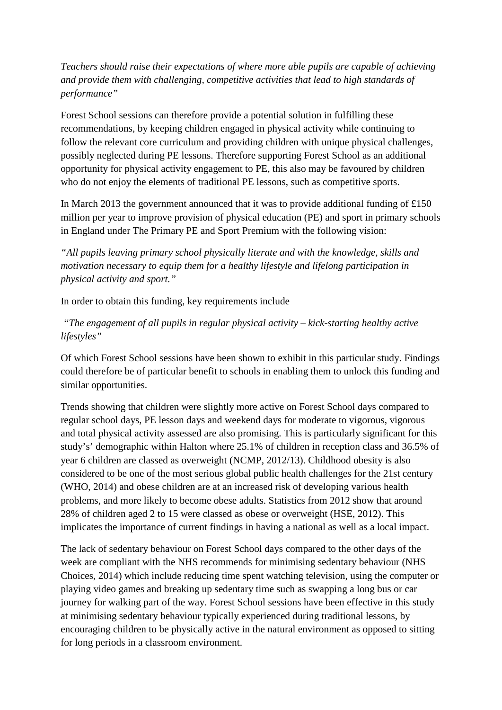*Teachers should raise their expectations of where more able pupils are capable of achieving and provide them with challenging, competitive activities that lead to high standards of performance"*

Forest School sessions can therefore provide a potential solution in fulfilling these recommendations, by keeping children engaged in physical activity while continuing to follow the relevant core curriculum and providing children with unique physical challenges, possibly neglected during PE lessons. Therefore supporting Forest School as an additional opportunity for physical activity engagement to PE, this also may be favoured by children who do not enjoy the elements of traditional PE lessons, such as competitive sports.

In March 2013 the government announced that it was to provide additional funding of  $£150$ million per year to improve provision of physical education (PE) and sport in primary schools in England under The Primary PE and Sport Premium with the following vision:

*"All pupils leaving primary school physically literate and with the knowledge, skills and motivation necessary to equip them for a healthy lifestyle and lifelong participation in physical activity and sport."*

In order to obtain this funding, key requirements include

*"The engagement of all pupils in regular physical activity – kick-starting healthy active lifestyles"*

Of which Forest School sessions have been shown to exhibit in this particular study. Findings could therefore be of particular benefit to schools in enabling them to unlock this funding and similar opportunities.

Trends showing that children were slightly more active on Forest School days compared to regular school days, PE lesson days and weekend days for moderate to vigorous, vigorous and total physical activity assessed are also promising. This is particularly significant for this study's' demographic within Halton where 25.1% of children in reception class and 36.5% of year 6 children are classed as overweight (NCMP, 2012/13). Childhood obesity is also considered to be one of the most serious global public health challenges for the 21st century (WHO, 2014) and obese children are at an increased risk of developing various health problems, and more likely to become obese adults. Statistics from 2012 show that around 28% of children aged 2 to 15 were classed as obese or overweight (HSE, 2012). This implicates the importance of current findings in having a national as well as a local impact.

The lack of sedentary behaviour on Forest School days compared to the other days of the week are compliant with the NHS recommends for minimising sedentary behaviour (NHS Choices, 2014) which include reducing time spent watching television, using the computer or playing video games and breaking up sedentary time such as swapping a long bus or car journey for walking part of the way. Forest School sessions have been effective in this study at minimising sedentary behaviour typically experienced during traditional lessons, by encouraging children to be physically active in the natural environment as opposed to sitting for long periods in a classroom environment.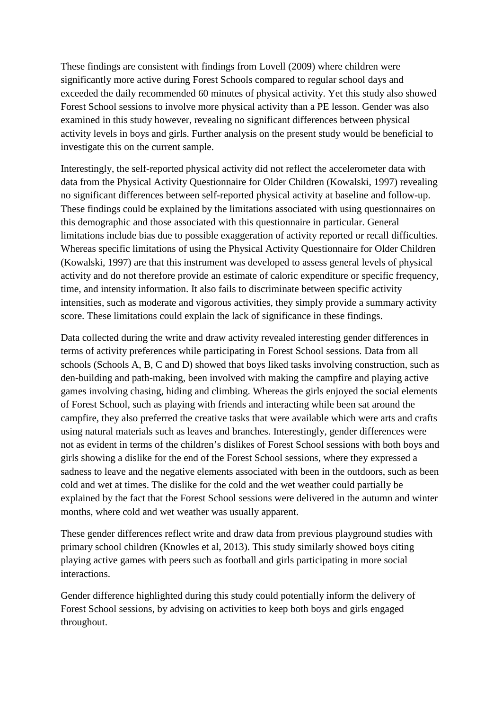These findings are consistent with findings from Lovell (2009) where children were significantly more active during Forest Schools compared to regular school days and exceeded the daily recommended 60 minutes of physical activity. Yet this study also showed Forest School sessions to involve more physical activity than a PE lesson. Gender was also examined in this study however, revealing no significant differences between physical activity levels in boys and girls. Further analysis on the present study would be beneficial to investigate this on the current sample.

Interestingly, the self-reported physical activity did not reflect the accelerometer data with data from the Physical Activity Questionnaire for Older Children (Kowalski, 1997) revealing no significant differences between self-reported physical activity at baseline and follow-up. These findings could be explained by the limitations associated with using questionnaires on this demographic and those associated with this questionnaire in particular. General limitations include bias due to possible exaggeration of activity reported or recall difficulties. Whereas specific limitations of using the Physical Activity Questionnaire for Older Children (Kowalski, 1997) are that this instrument was developed to assess general levels of physical activity and do not therefore provide an estimate of caloric expenditure or specific frequency, time, and intensity information. It also fails to discriminate between specific activity intensities, such as moderate and vigorous activities, they simply provide a summary activity score. These limitations could explain the lack of significance in these findings.

Data collected during the write and draw activity revealed interesting gender differences in terms of activity preferences while participating in Forest School sessions. Data from all schools (Schools A, B, C and D) showed that boys liked tasks involving construction, such as den-building and path-making, been involved with making the campfire and playing active games involving chasing, hiding and climbing. Whereas the girls enjoyed the social elements of Forest School, such as playing with friends and interacting while been sat around the campfire, they also preferred the creative tasks that were available which were arts and crafts using natural materials such as leaves and branches. Interestingly, gender differences were not as evident in terms of the children's dislikes of Forest School sessions with both boys and girls showing a dislike for the end of the Forest School sessions, where they expressed a sadness to leave and the negative elements associated with been in the outdoors, such as been cold and wet at times. The dislike for the cold and the wet weather could partially be explained by the fact that the Forest School sessions were delivered in the autumn and winter months, where cold and wet weather was usually apparent.

These gender differences reflect write and draw data from previous playground studies with primary school children (Knowles et al, 2013). This study similarly showed boys citing playing active games with peers such as football and girls participating in more social interactions.

Gender difference highlighted during this study could potentially inform the delivery of Forest School sessions, by advising on activities to keep both boys and girls engaged throughout.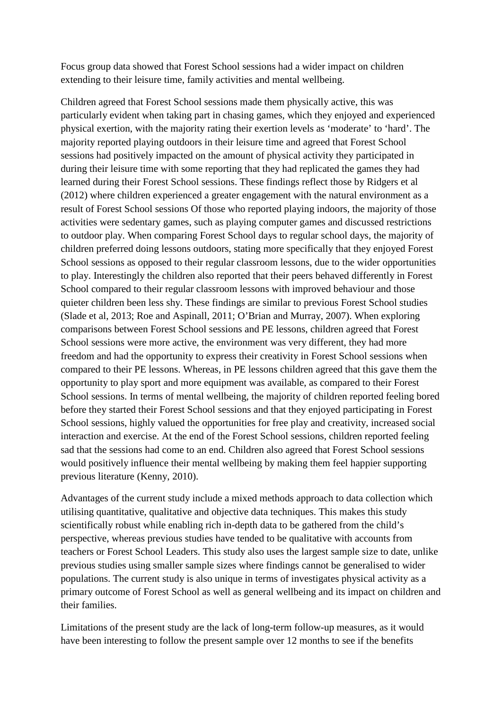Focus group data showed that Forest School sessions had a wider impact on children extending to their leisure time, family activities and mental wellbeing.

Children agreed that Forest School sessions made them physically active, this was particularly evident when taking part in chasing games, which they enjoyed and experienced physical exertion, with the majority rating their exertion levels as 'moderate' to 'hard'. The majority reported playing outdoors in their leisure time and agreed that Forest School sessions had positively impacted on the amount of physical activity they participated in during their leisure time with some reporting that they had replicated the games they had learned during their Forest School sessions. These findings reflect those by Ridgers et al (2012) where children experienced a greater engagement with the natural environment as a result of Forest School sessions Of those who reported playing indoors, the majority of those activities were sedentary games, such as playing computer games and discussed restrictions to outdoor play. When comparing Forest School days to regular school days, the majority of children preferred doing lessons outdoors, stating more specifically that they enjoyed Forest School sessions as opposed to their regular classroom lessons, due to the wider opportunities to play. Interestingly the children also reported that their peers behaved differently in Forest School compared to their regular classroom lessons with improved behaviour and those quieter children been less shy. These findings are similar to previous Forest School studies (Slade et al, 2013; Roe and Aspinall, 2011; O'Brian and Murray, 2007). When exploring comparisons between Forest School sessions and PE lessons, children agreed that Forest School sessions were more active, the environment was very different, they had more freedom and had the opportunity to express their creativity in Forest School sessions when compared to their PE lessons. Whereas, in PE lessons children agreed that this gave them the opportunity to play sport and more equipment was available, as compared to their Forest School sessions. In terms of mental wellbeing, the majority of children reported feeling bored before they started their Forest School sessions and that they enjoyed participating in Forest School sessions, highly valued the opportunities for free play and creativity, increased social interaction and exercise. At the end of the Forest School sessions, children reported feeling sad that the sessions had come to an end. Children also agreed that Forest School sessions would positively influence their mental wellbeing by making them feel happier supporting previous literature (Kenny, 2010).

Advantages of the current study include a mixed methods approach to data collection which utilising quantitative, qualitative and objective data techniques. This makes this study scientifically robust while enabling rich in-depth data to be gathered from the child's perspective, whereas previous studies have tended to be qualitative with accounts from teachers or Forest School Leaders. This study also uses the largest sample size to date, unlike previous studies using smaller sample sizes where findings cannot be generalised to wider populations. The current study is also unique in terms of investigates physical activity as a primary outcome of Forest School as well as general wellbeing and its impact on children and their families.

Limitations of the present study are the lack of long-term follow-up measures, as it would have been interesting to follow the present sample over 12 months to see if the benefits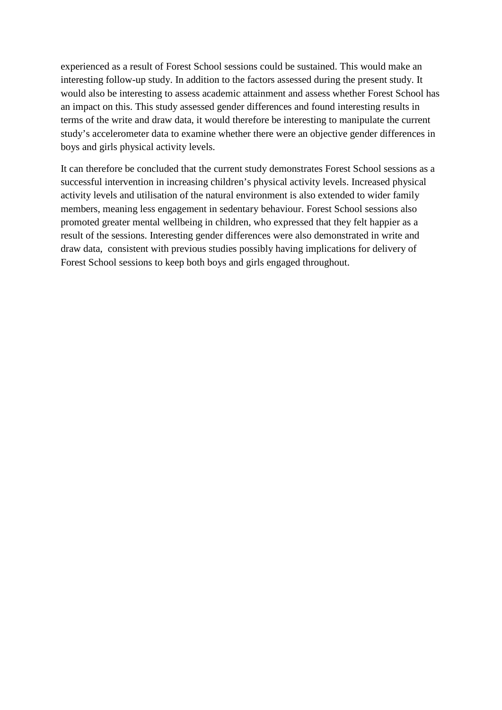experienced as a result of Forest School sessions could be sustained. This would make an interesting follow-up study. In addition to the factors assessed during the present study. It would also be interesting to assess academic attainment and assess whether Forest School has an impact on this. This study assessed gender differences and found interesting results in terms of the write and draw data, it would therefore be interesting to manipulate the current study's accelerometer data to examine whether there were an objective gender differences in boys and girls physical activity levels.

It can therefore be concluded that the current study demonstrates Forest School sessions as a successful intervention in increasing children's physical activity levels. Increased physical activity levels and utilisation of the natural environment is also extended to wider family members, meaning less engagement in sedentary behaviour. Forest School sessions also promoted greater mental wellbeing in children, who expressed that they felt happier as a result of the sessions. Interesting gender differences were also demonstrated in write and draw data, consistent with previous studies possibly having implications for delivery of Forest School sessions to keep both boys and girls engaged throughout.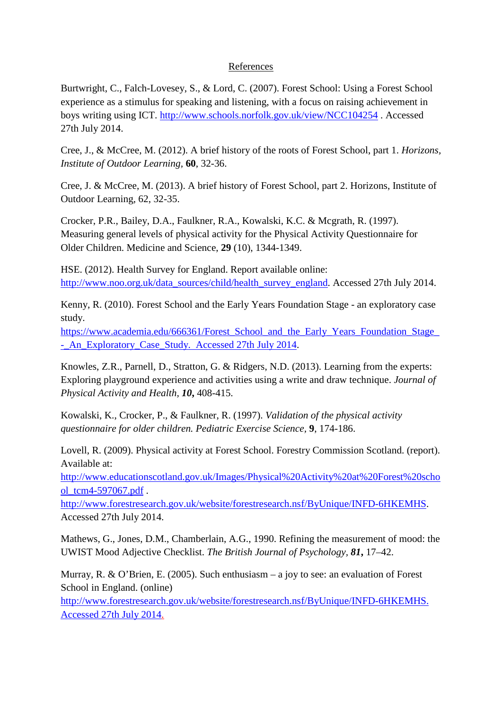# References

Burtwright, C., Falch-Lovesey, S., & Lord, C. (2007). Forest School: Using a Forest School experience as a stimulus for speaking and listening, with a focus on raising achievement in boys writing using ICT.<http://www.schools.norfolk.gov.uk/view/NCC104254> . Accessed 27th July 2014.

Cree, J., & McCree, M. (2012). A brief history of the roots of Forest School, part 1. *Horizons, Institute of Outdoor Learning,* **60**, 32-36.

Cree, J. & McCree, M. (2013). A brief history of Forest School, part 2. Horizons, Institute of Outdoor Learning, 62, 32-35.

Crocker, P.R., Bailey, D.A., Faulkner, R.A., Kowalski, K.C. & Mcgrath, R. (1997). Measuring general levels of physical activity for the Physical Activity Questionnaire for Older Children. Medicine and Science, **29** (10), 1344-1349.

HSE. (2012). Health Survey for England. Report available online: [http://www.noo.org.uk/data\\_sources/child/health\\_survey\\_england.](http://www.noo.org.uk/data_sources/child/health_survey_england) Accessed 27th July 2014.

Kenny, R. (2010). Forest School and the Early Years Foundation Stage - an exploratory case study.

[https://www.academia.edu/666361/Forest\\_School\\_and\\_the\\_Early\\_Years\\_Foundation\\_Stage\\_](https://www.academia.edu/666361/Forest_School_and_the_Early_Years_Foundation_Stage_-_An_Exploratory_Case_Study.%20%20Accessed%2027th%20July%202014) - An\_Exploratory\_Case\_Study. Accessed 27th July 2014.

Knowles, Z.R., Parnell, D., Stratton, G. & Ridgers, N.D. (2013). Learning from the experts: Exploring playground experience and activities using a write and draw technique. *Journal of Physical Activity and Health, 10***,** 408-415.

Kowalski, K., Crocker, P., & Faulkner, R. (1997). *Validation of the physical activity questionnaire for older children. Pediatric Exercise Science,* **9**, 174-186.

Lovell, R. (2009). Physical activity at Forest School. Forestry Commission Scotland. (report). Available at:

[http://www.educationscotland.gov.uk/Images/Physical%20Activity%20at%20Forest%20scho](http://www.educationscotland.gov.uk/Images/Physical%20Activity%20at%20Forest%20school_tcm4-597067.pdf) [ol\\_tcm4-597067.pdf](http://www.educationscotland.gov.uk/Images/Physical%20Activity%20at%20Forest%20school_tcm4-597067.pdf) .

[http://www.forestresearch.gov.uk/website/forestresearch.nsf/ByUnique/INFD-6HKEMHS.](http://www.forestresearch.gov.uk/website/forestresearch.nsf/ByUnique/INFD-6HKEMHS) Accessed 27th July 2014.

Mathews, G., Jones, D.M., Chamberlain, A.G., 1990. Refining the measurement of mood: the UWIST Mood Adjective Checklist. *The British Journal of Psychology, 81***,** 17–42.

Murray, R. & O'Brien, E. (2005). Such enthusiasm – a joy to see: an evaluation of Forest School in England. (online)

[http://www.forestresearch.gov.uk/website/forestresearch.nsf/ByUnique/INFD-6HKEMHS.](http://www.forestresearch.gov.uk/website/forestresearch.nsf/ByUnique/INFD-6HKEMHS.%20%20Accessed%2027th%20July%202014)  [Accessed 27th July 2014.](http://www.forestresearch.gov.uk/website/forestresearch.nsf/ByUnique/INFD-6HKEMHS.%20%20Accessed%2027th%20July%202014)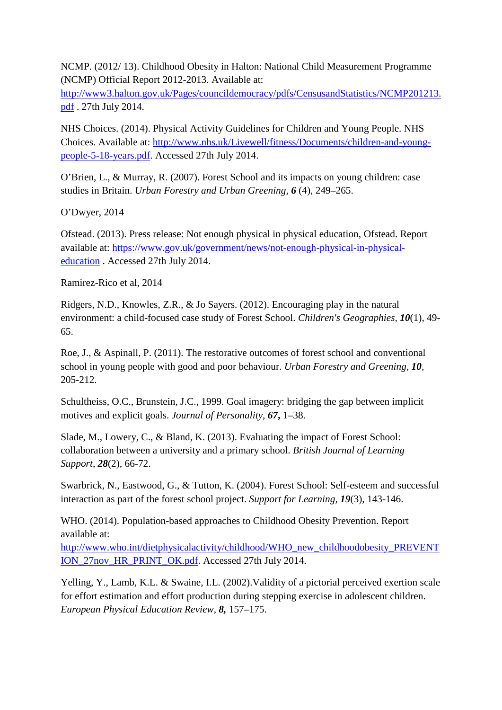NCMP. (2012/ 13). Childhood Obesity in Halton: National Child Measurement Programme (NCMP) Official Report 2012-2013. Available at:

[http://www3.halton.gov.uk/Pages/councildemocracy/pdfs/CensusandStatistics/NCMP201213.](http://www3.halton.gov.uk/Pages/councildemocracy/pdfs/CensusandStatistics/NCMP201213.pdf) [pdf](http://www3.halton.gov.uk/Pages/councildemocracy/pdfs/CensusandStatistics/NCMP201213.pdf) . 27th July 2014.

NHS Choices. (2014). Physical Activity Guidelines for Children and Young People. NHS Choices. Available at: [http://www.nhs.uk/Livewell/fitness/Documents/children-and-young](http://www.nhs.uk/Livewell/fitness/Documents/children-and-young-people-5-18-years.pdf)[people-5-18-years.pdf.](http://www.nhs.uk/Livewell/fitness/Documents/children-and-young-people-5-18-years.pdf) Accessed 27th July 2014.

O'Brien, L., & Murray, R. (2007). Forest School and its impacts on young children: case studies in Britain. *Urban Forestry and Urban Greening, 6* (4), 249–265.

O'Dwyer, 2014

Ofstead. (2013). Press release: Not enough physical in physical education, Ofstead. Report available at: [https://www.gov.uk/government/news/not-enough-physical-in-physical](https://www.gov.uk/government/news/not-enough-physical-in-physical-education)[education](https://www.gov.uk/government/news/not-enough-physical-in-physical-education) . Accessed 27th July 2014.

Ramirez-Rico et al, 2014

Ridgers, N.D., Knowles, Z.R., & Jo Sayers. (2012). Encouraging play in the natural environment: a child-focused case study of Forest School. *Children's Geographies, 10*(1), 49- 65.

Roe, J., & Aspinall, P. (2011). The restorative outcomes of forest school and conventional school in young people with good and poor behaviour. *Urban Forestry and Greening, 10,* 205-212.

Schultheiss, O.C., Brunstein, J.C., 1999. Goal imagery: bridging the gap between implicit motives and explicit goals. *Journal of Personality, 67***,** 1–38.

Slade, M., Lowery, C., & Bland, K. (2013). Evaluating the impact of Forest School: collaboration between a university and a primary school. *British Journal of Learning Support, 28*(2), 66-72.

Swarbrick, N., Eastwood, G., & Tutton, K. (2004). Forest School: Self-esteem and successful interaction as part of the forest school project. *Support for Learning, 19*(3), 143-146.

WHO. (2014). Population-based approaches to Childhood Obesity Prevention. Report available at:

[http://www.who.int/dietphysicalactivity/childhood/WHO\\_new\\_childhoodobesity\\_PREVENT](http://www.who.int/dietphysicalactivity/childhood/WHO_new_childhoodobesity_PREVENTION_27nov_HR_PRINT_OK.pdf) ION 27nov HR\_PRINT\_OK.pdf. Accessed 27th July 2014.

Yelling, Y., Lamb, K.L. & Swaine, I.L. (2002).Validity of a pictorial perceived exertion scale for effort estimation and effort production during stepping exercise in adolescent children. *European Physical Education Review, 8,* 157–175.